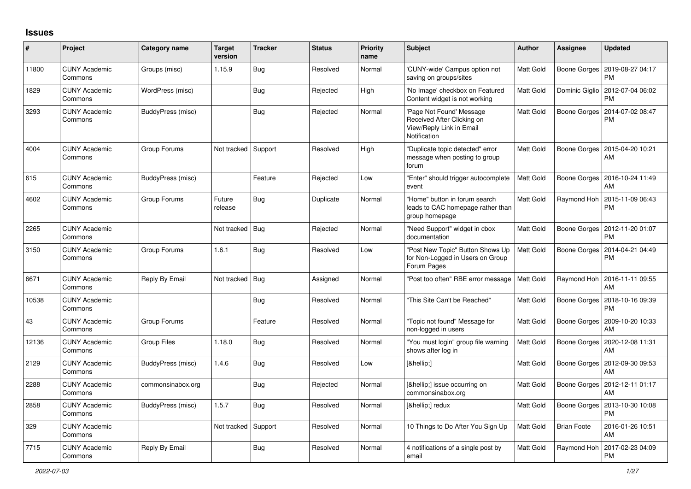## **Issues**

| $\pmb{\#}$ | Project                         | <b>Category name</b> | <b>Target</b><br>version | <b>Tracker</b> | <b>Status</b> | <b>Priority</b><br>name | <b>Subject</b>                                                                                     | <b>Author</b>    | Assignee            | <b>Updated</b>                        |
|------------|---------------------------------|----------------------|--------------------------|----------------|---------------|-------------------------|----------------------------------------------------------------------------------------------------|------------------|---------------------|---------------------------------------|
| 11800      | <b>CUNY Academic</b><br>Commons | Groups (misc)        | 1.15.9                   | Bug            | Resolved      | Normal                  | 'CUNY-wide' Campus option not<br>saving on groups/sites                                            | <b>Matt Gold</b> | Boone Gorges        | 2019-08-27 04:17<br><b>PM</b>         |
| 1829       | <b>CUNY Academic</b><br>Commons | WordPress (misc)     |                          | <b>Bug</b>     | Rejected      | High                    | 'No Image' checkbox on Featured<br>Content widget is not working                                   | Matt Gold        | Dominic Giglio      | 2012-07-04 06:02<br><b>PM</b>         |
| 3293       | <b>CUNY Academic</b><br>Commons | BuddyPress (misc)    |                          | Bug            | Rejected      | Normal                  | 'Page Not Found' Message<br>Received After Clicking on<br>View/Reply Link in Email<br>Notification | Matt Gold        | Boone Gorges        | 2014-07-02 08:47<br><b>PM</b>         |
| 4004       | <b>CUNY Academic</b><br>Commons | Group Forums         | Not tracked              | Support        | Resolved      | High                    | 'Duplicate topic detected" error<br>message when posting to group<br>forum                         | Matt Gold        | Boone Gorges        | 2015-04-20 10:21<br>AM                |
| 615        | <b>CUNY Academic</b><br>Commons | BuddyPress (misc)    |                          | Feature        | Rejected      | Low                     | 'Enter" should trigger autocomplete<br>event                                                       | <b>Matt Gold</b> | <b>Boone Gorges</b> | 2016-10-24 11:49<br>AM                |
| 4602       | <b>CUNY Academic</b><br>Commons | Group Forums         | Future<br>release        | Bug            | Duplicate     | Normal                  | 'Home" button in forum search<br>leads to CAC homepage rather than<br>group homepage               | Matt Gold        | Raymond Hoh         | 2015-11-09 06:43<br><b>PM</b>         |
| 2265       | <b>CUNY Academic</b><br>Commons |                      | Not tracked              | Bug            | Rejected      | Normal                  | "Need Support" widget in cbox<br>documentation                                                     | Matt Gold        | Boone Gorges        | 2012-11-20 01:07<br><b>PM</b>         |
| 3150       | <b>CUNY Academic</b><br>Commons | Group Forums         | 1.6.1                    | Bug            | Resolved      | Low                     | 'Post New Topic" Button Shows Up<br>for Non-Logged in Users on Group<br>Forum Pages                | Matt Gold        | Boone Gorges        | 2014-04-21 04:49<br><b>PM</b>         |
| 6671       | <b>CUNY Academic</b><br>Commons | Reply By Email       | Not tracked              | Bug            | Assigned      | Normal                  | 'Post too often" RBE error message                                                                 | Matt Gold        | Raymond Hoh         | 2016-11-11 09:55<br>AM                |
| 10538      | <b>CUNY Academic</b><br>Commons |                      |                          | Bug            | Resolved      | Normal                  | This Site Can't be Reached"                                                                        | Matt Gold        | Boone Gorges        | 2018-10-16 09:39<br><b>PM</b>         |
| 43         | <b>CUNY Academic</b><br>Commons | Group Forums         |                          | Feature        | Resolved      | Normal                  | "Topic not found" Message for<br>non-logged in users                                               | Matt Gold        | Boone Gorges        | 2009-10-20 10:33<br>AM                |
| 12136      | <b>CUNY Academic</b><br>Commons | <b>Group Files</b>   | 1.18.0                   | Bug            | Resolved      | Normal                  | 'You must login" group file warning<br>shows after log in                                          | Matt Gold        | Boone Gorges        | 2020-12-08 11:31<br>AM                |
| 2129       | <b>CUNY Academic</b><br>Commons | BuddyPress (misc)    | 1.4.6                    | Bug            | Resolved      | Low                     | […]                                                                                                | Matt Gold        | <b>Boone Gorges</b> | 2012-09-30 09:53<br>AM                |
| 2288       | <b>CUNY Academic</b><br>Commons | commonsinabox.org    |                          | Bug            | Rejected      | Normal                  | […] issue occurring on<br>commonsinabox.org                                                        | Matt Gold        |                     | Boone Gorges   2012-12-11 01:17<br>AM |
| 2858       | <b>CUNY Academic</b><br>Commons | BuddyPress (misc)    | 1.5.7                    | Bug            | Resolved      | Normal                  | […] redux                                                                                          | Matt Gold        | Boone Gorges        | 2013-10-30 10:08<br><b>PM</b>         |
| 329        | <b>CUNY Academic</b><br>Commons |                      | Not tracked              | Support        | Resolved      | Normal                  | 10 Things to Do After You Sign Up                                                                  | Matt Gold        | <b>Brian Foote</b>  | 2016-01-26 10:51<br>AM                |
| 7715       | <b>CUNY Academic</b><br>Commons | Reply By Email       |                          | Bug            | Resolved      | Normal                  | 4 notifications of a single post by<br>email                                                       | <b>Matt Gold</b> | Raymond Hoh         | 2017-02-23 04:09<br><b>PM</b>         |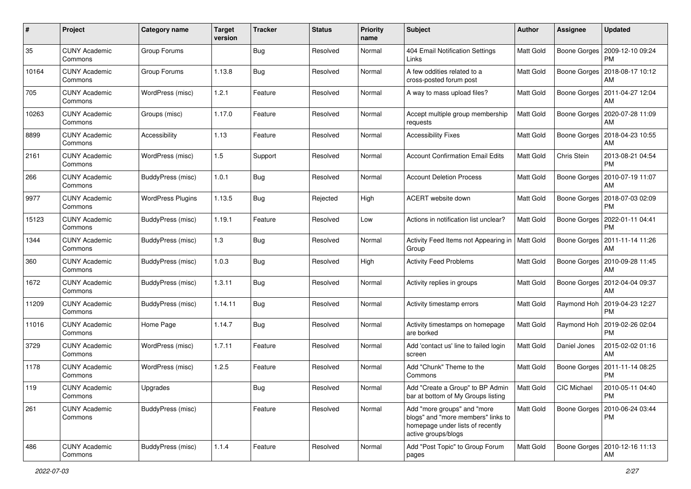| #     | Project                         | <b>Category name</b>     | <b>Target</b><br>version | <b>Tracker</b> | <b>Status</b> | <b>Priority</b><br>name | Subject                                                                                                                      | Author           | <b>Assignee</b>    | <b>Updated</b>                              |
|-------|---------------------------------|--------------------------|--------------------------|----------------|---------------|-------------------------|------------------------------------------------------------------------------------------------------------------------------|------------------|--------------------|---------------------------------------------|
| 35    | <b>CUNY Academic</b><br>Commons | Group Forums             |                          | <b>Bug</b>     | Resolved      | Normal                  | 404 Email Notification Settings<br>Links                                                                                     | Matt Gold        | Boone Gorges       | 2009-12-10 09:24<br>PM                      |
| 10164 | <b>CUNY Academic</b><br>Commons | Group Forums             | 1.13.8                   | Bug            | Resolved      | Normal                  | A few oddities related to a<br>cross-posted forum post                                                                       | Matt Gold        | Boone Gorges       | 2018-08-17 10:12<br>AM                      |
| 705   | <b>CUNY Academic</b><br>Commons | WordPress (misc)         | 1.2.1                    | Feature        | Resolved      | Normal                  | A way to mass upload files?                                                                                                  | <b>Matt Gold</b> | Boone Gorges       | 2011-04-27 12:04<br>AM                      |
| 10263 | <b>CUNY Academic</b><br>Commons | Groups (misc)            | 1.17.0                   | Feature        | Resolved      | Normal                  | Accept multiple group membership<br>requests                                                                                 | Matt Gold        | Boone Gorges       | 2020-07-28 11:09<br>AM                      |
| 8899  | <b>CUNY Academic</b><br>Commons | Accessibility            | 1.13                     | Feature        | Resolved      | Normal                  | <b>Accessibility Fixes</b>                                                                                                   | Matt Gold        | Boone Gorges       | 2018-04-23 10:55<br>AM                      |
| 2161  | <b>CUNY Academic</b><br>Commons | WordPress (misc)         | 1.5                      | Support        | Resolved      | Normal                  | <b>Account Confirmation Email Edits</b>                                                                                      | Matt Gold        | Chris Stein        | 2013-08-21 04:54<br><b>PM</b>               |
| 266   | <b>CUNY Academic</b><br>Commons | BuddyPress (misc)        | 1.0.1                    | Bug            | Resolved      | Normal                  | <b>Account Deletion Process</b>                                                                                              | <b>Matt Gold</b> | Boone Gorges       | 2010-07-19 11:07<br>AM                      |
| 9977  | <b>CUNY Academic</b><br>Commons | <b>WordPress Plugins</b> | 1.13.5                   | <b>Bug</b>     | Rejected      | High                    | ACERT website down                                                                                                           | Matt Gold        | Boone Gorges       | 2018-07-03 02:09<br>PM                      |
| 15123 | <b>CUNY Academic</b><br>Commons | BuddyPress (misc)        | 1.19.1                   | Feature        | Resolved      | Low                     | Actions in notification list unclear?                                                                                        | Matt Gold        | Boone Gorges       | 2022-01-11 04:41<br><b>PM</b>               |
| 1344  | <b>CUNY Academic</b><br>Commons | BuddyPress (misc)        | 1.3                      | Bug            | Resolved      | Normal                  | Activity Feed Items not Appearing in<br>Group                                                                                | Matt Gold        | Boone Gorges       | 2011-11-14 11:26<br>AM                      |
| 360   | <b>CUNY Academic</b><br>Commons | BuddyPress (misc)        | 1.0.3                    | Bug            | Resolved      | High                    | <b>Activity Feed Problems</b>                                                                                                | <b>Matt Gold</b> | Boone Gorges       | 2010-09-28 11:45<br>AM                      |
| 1672  | <b>CUNY Academic</b><br>Commons | BuddyPress (misc)        | 1.3.11                   | Bug            | Resolved      | Normal                  | Activity replies in groups                                                                                                   | <b>Matt Gold</b> | Boone Gorges       | 2012-04-04 09:37<br>AM                      |
| 11209 | <b>CUNY Academic</b><br>Commons | BuddyPress (misc)        | 1.14.11                  | Bug            | Resolved      | Normal                  | Activity timestamp errors                                                                                                    | Matt Gold        |                    | Raymond Hoh   2019-04-23 12:27<br><b>PM</b> |
| 11016 | <b>CUNY Academic</b><br>Commons | Home Page                | 1.14.7                   | Bug            | Resolved      | Normal                  | Activity timestamps on homepage<br>are borked                                                                                | Matt Gold        | Raymond Hoh        | 2019-02-26 02:04<br>PM                      |
| 3729  | <b>CUNY Academic</b><br>Commons | WordPress (misc)         | 1.7.11                   | Feature        | Resolved      | Normal                  | Add 'contact us' line to failed login<br>screen                                                                              | Matt Gold        | Daniel Jones       | 2015-02-02 01:16<br>AM                      |
| 1178  | <b>CUNY Academic</b><br>Commons | WordPress (misc)         | 1.2.5                    | Feature        | Resolved      | Normal                  | Add "Chunk" Theme to the<br>Commons                                                                                          | <b>Matt Gold</b> | Boone Gorges       | 2011-11-14 08:25<br><b>PM</b>               |
| 119   | <b>CUNY Academic</b><br>Commons | Upgrades                 |                          | Bug            | Resolved      | Normal                  | Add "Create a Group" to BP Admin<br>bar at bottom of My Groups listing                                                       | <b>Matt Gold</b> | <b>CIC Michael</b> | 2010-05-11 04:40<br>PM                      |
| 261   | <b>CUNY Academic</b><br>Commons | <b>BuddyPress (misc)</b> |                          | Feature        | Resolved      | Normal                  | Add "more groups" and "more<br>blogs" and "more members" links to<br>homepage under lists of recently<br>active groups/blogs | Matt Gold        | Boone Gorges       | 2010-06-24 03:44<br>PM                      |
| 486   | <b>CUNY Academic</b><br>Commons | BuddyPress (misc)        | 1.1.4                    | Feature        | Resolved      | Normal                  | Add "Post Topic" to Group Forum<br>pages                                                                                     | Matt Gold        |                    | Boone Gorges   2010-12-16 11:13<br>AM       |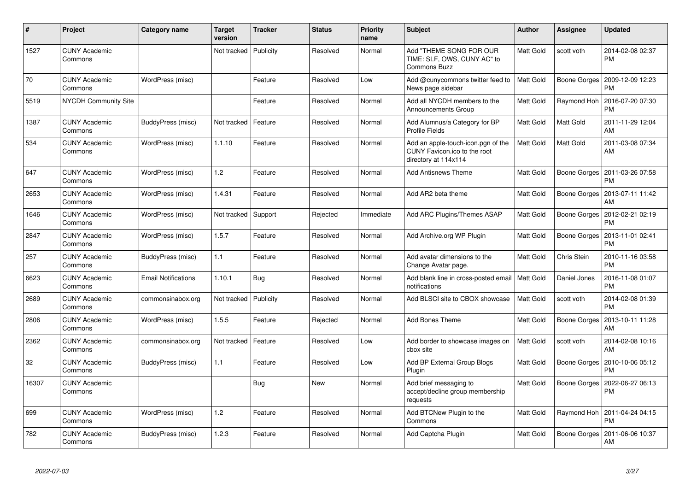| #     | Project                         | <b>Category name</b>       | <b>Target</b><br>version | <b>Tracker</b> | <b>Status</b> | <b>Priority</b><br>name | <b>Subject</b>                                                                             | <b>Author</b> | Assignee     | <b>Updated</b>                |
|-------|---------------------------------|----------------------------|--------------------------|----------------|---------------|-------------------------|--------------------------------------------------------------------------------------------|---------------|--------------|-------------------------------|
| 1527  | <b>CUNY Academic</b><br>Commons |                            | Not tracked              | Publicity      | Resolved      | Normal                  | Add "THEME SONG FOR OUR<br>TIME: SLF, OWS, CUNY AC" to<br><b>Commons Buzz</b>              | Matt Gold     | scott voth   | 2014-02-08 02:37<br><b>PM</b> |
| 70    | <b>CUNY Academic</b><br>Commons | WordPress (misc)           |                          | Feature        | Resolved      | Low                     | Add @cunycommons twitter feed to<br>News page sidebar                                      | Matt Gold     | Boone Gorges | 2009-12-09 12:23<br><b>PM</b> |
| 5519  | <b>NYCDH Community Site</b>     |                            |                          | Feature        | Resolved      | Normal                  | Add all NYCDH members to the<br>Announcements Group                                        | Matt Gold     | Raymond Hoh  | 2016-07-20 07:30<br><b>PM</b> |
| 1387  | <b>CUNY Academic</b><br>Commons | BuddyPress (misc)          | Not tracked              | Feature        | Resolved      | Normal                  | Add Alumnus/a Category for BP<br><b>Profile Fields</b>                                     | Matt Gold     | Matt Gold    | 2011-11-29 12:04<br>AM        |
| 534   | <b>CUNY Academic</b><br>Commons | WordPress (misc)           | 1.1.10                   | Feature        | Resolved      | Normal                  | Add an apple-touch-icon.pgn of the<br>CUNY Favicon.ico to the root<br>directory at 114x114 | Matt Gold     | Matt Gold    | 2011-03-08 07:34<br>AM        |
| 647   | <b>CUNY Academic</b><br>Commons | WordPress (misc)           | 1.2                      | Feature        | Resolved      | Normal                  | <b>Add Antisnews Theme</b>                                                                 | Matt Gold     | Boone Gorges | 2011-03-26 07:58<br><b>PM</b> |
| 2653  | <b>CUNY Academic</b><br>Commons | WordPress (misc)           | 1.4.31                   | Feature        | Resolved      | Normal                  | Add AR2 beta theme                                                                         | Matt Gold     | Boone Gorges | 2013-07-11 11:42<br>AM        |
| 1646  | <b>CUNY Academic</b><br>Commons | WordPress (misc)           | Not tracked              | Support        | Rejected      | Immediate               | Add ARC Plugins/Themes ASAP                                                                | Matt Gold     | Boone Gorges | 2012-02-21 02:19<br><b>PM</b> |
| 2847  | <b>CUNY Academic</b><br>Commons | WordPress (misc)           | 1.5.7                    | Feature        | Resolved      | Normal                  | Add Archive.org WP Plugin                                                                  | Matt Gold     | Boone Gorges | 2013-11-01 02:41<br><b>PM</b> |
| 257   | <b>CUNY Academic</b><br>Commons | BuddyPress (misc)          | 1.1                      | Feature        | Resolved      | Normal                  | Add avatar dimensions to the<br>Change Avatar page.                                        | Matt Gold     | Chris Stein  | 2010-11-16 03:58<br><b>PM</b> |
| 6623  | <b>CUNY Academic</b><br>Commons | <b>Email Notifications</b> | 1.10.1                   | Bug            | Resolved      | Normal                  | Add blank line in cross-posted email   Matt Gold<br>notifications                          |               | Daniel Jones | 2016-11-08 01:07<br><b>PM</b> |
| 2689  | <b>CUNY Academic</b><br>Commons | commonsinabox.org          | Not tracked              | Publicity      | Resolved      | Normal                  | Add BLSCI site to CBOX showcase                                                            | Matt Gold     | scott voth   | 2014-02-08 01:39<br><b>PM</b> |
| 2806  | <b>CUNY Academic</b><br>Commons | WordPress (misc)           | 1.5.5                    | Feature        | Rejected      | Normal                  | Add Bones Theme                                                                            | Matt Gold     | Boone Gorges | 2013-10-11 11:28<br>AM        |
| 2362  | <b>CUNY Academic</b><br>Commons | commonsinabox.org          | Not tracked              | Feature        | Resolved      | Low                     | Add border to showcase images on<br>cbox site                                              | Matt Gold     | scott voth   | 2014-02-08 10:16<br>AM        |
| 32    | <b>CUNY Academic</b><br>Commons | BuddyPress (misc)          | 1.1                      | Feature        | Resolved      | Low                     | Add BP External Group Blogs<br>Plugin                                                      | Matt Gold     | Boone Gorges | 2010-10-06 05:12<br><b>PM</b> |
| 16307 | <b>CUNY Academic</b><br>Commons |                            |                          | Bug            | New           | Normal                  | Add brief messaging to<br>accept/decline group membership<br>requests                      | Matt Gold     | Boone Gorges | 2022-06-27 06:13<br><b>PM</b> |
| 699   | <b>CUNY Academic</b><br>Commons | WordPress (misc)           | 1.2                      | Feature        | Resolved      | Normal                  | Add BTCNew Plugin to the<br>Commons                                                        | Matt Gold     | Raymond Hoh  | 2011-04-24 04:15<br><b>PM</b> |
| 782   | <b>CUNY Academic</b><br>Commons | BuddyPress (misc)          | 1.2.3                    | Feature        | Resolved      | Normal                  | Add Captcha Plugin                                                                         | Matt Gold     | Boone Gorges | 2011-06-06 10:37<br>AM        |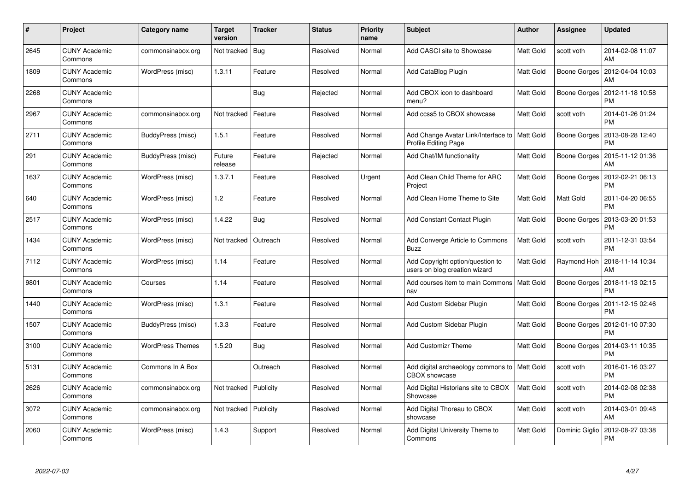| #    | Project                         | Category name           | <b>Target</b><br>version | <b>Tracker</b> | <b>Status</b> | <b>Priority</b><br>name | <b>Subject</b>                                                          | <b>Author</b> | Assignee       | <b>Updated</b>                |
|------|---------------------------------|-------------------------|--------------------------|----------------|---------------|-------------------------|-------------------------------------------------------------------------|---------------|----------------|-------------------------------|
| 2645 | <b>CUNY Academic</b><br>Commons | commonsinabox.org       | Not tracked              | Bug            | Resolved      | Normal                  | Add CASCI site to Showcase                                              | Matt Gold     | scott voth     | 2014-02-08 11:07<br>AM        |
| 1809 | <b>CUNY Academic</b><br>Commons | WordPress (misc)        | 1.3.11                   | Feature        | Resolved      | Normal                  | Add CataBlog Plugin                                                     | Matt Gold     | Boone Gorges   | 2012-04-04 10:03<br>AM        |
| 2268 | <b>CUNY Academic</b><br>Commons |                         |                          | Bug            | Rejected      | Normal                  | Add CBOX icon to dashboard<br>menu?                                     | Matt Gold     | Boone Gorges   | 2012-11-18 10:58<br>PM        |
| 2967 | <b>CUNY Academic</b><br>Commons | commonsinabox.org       | Not tracked              | Feature        | Resolved      | Normal                  | Add ccss5 to CBOX showcase                                              | Matt Gold     | scott voth     | 2014-01-26 01:24<br>PM        |
| 2711 | <b>CUNY Academic</b><br>Commons | BuddyPress (misc)       | 1.5.1                    | Feature        | Resolved      | Normal                  | Add Change Avatar Link/Interface to   Matt Gold<br>Profile Editing Page |               | Boone Gorges   | 2013-08-28 12:40<br><b>PM</b> |
| 291  | <b>CUNY Academic</b><br>Commons | BuddyPress (misc)       | Future<br>release        | Feature        | Rejected      | Normal                  | Add Chat/IM functionality                                               | Matt Gold     | Boone Gorges   | 2015-11-12 01:36<br>AM        |
| 1637 | <b>CUNY Academic</b><br>Commons | WordPress (misc)        | 1.3.7.1                  | Feature        | Resolved      | Urgent                  | Add Clean Child Theme for ARC<br>Project                                | Matt Gold     | Boone Gorges   | 2012-02-21 06:13<br><b>PM</b> |
| 640  | <b>CUNY Academic</b><br>Commons | WordPress (misc)        | 1.2                      | Feature        | Resolved      | Normal                  | Add Clean Home Theme to Site                                            | Matt Gold     | Matt Gold      | 2011-04-20 06:55<br><b>PM</b> |
| 2517 | <b>CUNY Academic</b><br>Commons | WordPress (misc)        | 1.4.22                   | Bug            | Resolved      | Normal                  | <b>Add Constant Contact Plugin</b>                                      | Matt Gold     | Boone Gorges   | 2013-03-20 01:53<br><b>PM</b> |
| 1434 | <b>CUNY Academic</b><br>Commons | WordPress (misc)        | Not tracked              | Outreach       | Resolved      | Normal                  | Add Converge Article to Commons<br><b>Buzz</b>                          | Matt Gold     | scott voth     | 2011-12-31 03:54<br><b>PM</b> |
| 7112 | <b>CUNY Academic</b><br>Commons | WordPress (misc)        | 1.14                     | Feature        | Resolved      | Normal                  | Add Copyright option/question to<br>users on blog creation wizard       | Matt Gold     | Raymond Hoh    | 2018-11-14 10:34<br>AM        |
| 9801 | <b>CUNY Academic</b><br>Commons | Courses                 | 1.14                     | Feature        | Resolved      | Normal                  | Add courses item to main Commons   Matt Gold<br>nav                     |               | Boone Gorges   | 2018-11-13 02:15<br><b>PM</b> |
| 1440 | <b>CUNY Academic</b><br>Commons | WordPress (misc)        | 1.3.1                    | Feature        | Resolved      | Normal                  | Add Custom Sidebar Plugin                                               | Matt Gold     | Boone Gorges   | 2011-12-15 02:46<br><b>PM</b> |
| 1507 | <b>CUNY Academic</b><br>Commons | BuddyPress (misc)       | 1.3.3                    | Feature        | Resolved      | Normal                  | Add Custom Sidebar Plugin                                               | Matt Gold     | Boone Gorges   | 2012-01-10 07:30<br>PM        |
| 3100 | <b>CUNY Academic</b><br>Commons | <b>WordPress Themes</b> | 1.5.20                   | Bug            | Resolved      | Normal                  | <b>Add Customizr Theme</b>                                              | Matt Gold     | Boone Gorges   | 2014-03-11 10:35<br><b>PM</b> |
| 5131 | <b>CUNY Academic</b><br>Commons | Commons In A Box        |                          | Outreach       | Resolved      | Normal                  | Add digital archaeology commons to   Matt Gold<br><b>CBOX</b> showcase  |               | scott voth     | 2016-01-16 03:27<br><b>PM</b> |
| 2626 | <b>CUNY Academic</b><br>Commons | commonsinabox.org       | Not tracked              | Publicity      | Resolved      | Normal                  | Add Digital Historians site to CBOX<br>Showcase                         | Matt Gold     | scott voth     | 2014-02-08 02:38<br><b>PM</b> |
| 3072 | <b>CUNY Academic</b><br>Commons | commonsinabox.org       | Not tracked              | Publicity      | Resolved      | Normal                  | Add Digital Thoreau to CBOX<br>showcase                                 | Matt Gold     | scott voth     | 2014-03-01 09:48<br>AM        |
| 2060 | CUNY Academic<br>Commons        | WordPress (misc)        | 1.4.3                    | Support        | Resolved      | Normal                  | Add Digital University Theme to<br>Commons                              | Matt Gold     | Dominic Giglio | 2012-08-27 03:38<br>PM        |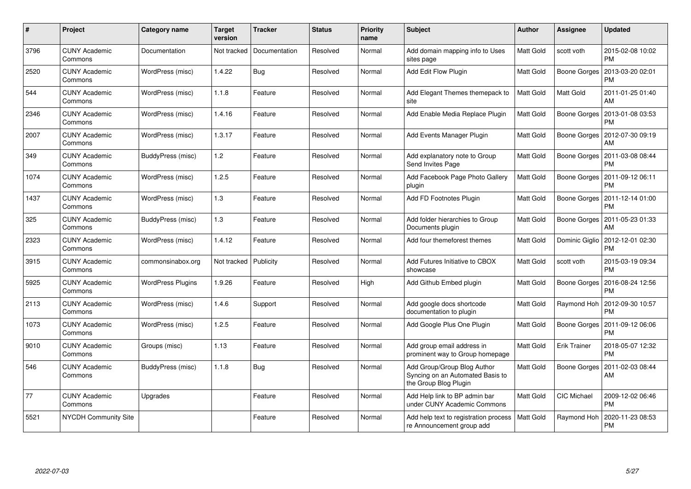| #    | Project                         | Category name            | Target<br>version | <b>Tracker</b> | <b>Status</b> | <b>Priority</b><br>name | <b>Subject</b>                                                                           | <b>Author</b> | Assignee            | <b>Updated</b>                |
|------|---------------------------------|--------------------------|-------------------|----------------|---------------|-------------------------|------------------------------------------------------------------------------------------|---------------|---------------------|-------------------------------|
| 3796 | <b>CUNY Academic</b><br>Commons | Documentation            | Not tracked       | Documentation  | Resolved      | Normal                  | Add domain mapping info to Uses<br>sites page                                            | Matt Gold     | scott voth          | 2015-02-08 10:02<br><b>PM</b> |
| 2520 | <b>CUNY Academic</b><br>Commons | WordPress (misc)         | 1.4.22            | Bug            | Resolved      | Normal                  | Add Edit Flow Plugin                                                                     | Matt Gold     | Boone Gorges        | 2013-03-20 02:01<br><b>PM</b> |
| 544  | <b>CUNY Academic</b><br>Commons | WordPress (misc)         | 1.1.8             | Feature        | Resolved      | Normal                  | Add Elegant Themes themepack to<br>site                                                  | Matt Gold     | Matt Gold           | 2011-01-25 01:40<br>AM        |
| 2346 | <b>CUNY Academic</b><br>Commons | WordPress (misc)         | 1.4.16            | Feature        | Resolved      | Normal                  | Add Enable Media Replace Plugin                                                          | Matt Gold     | Boone Gorges        | 2013-01-08 03:53<br><b>PM</b> |
| 2007 | <b>CUNY Academic</b><br>Commons | WordPress (misc)         | 1.3.17            | Feature        | Resolved      | Normal                  | Add Events Manager Plugin                                                                | Matt Gold     | Boone Gorges        | 2012-07-30 09:19<br>AM        |
| 349  | <b>CUNY Academic</b><br>Commons | BuddyPress (misc)        | 1.2               | Feature        | Resolved      | Normal                  | Add explanatory note to Group<br>Send Invites Page                                       | Matt Gold     | Boone Gorges        | 2011-03-08 08:44<br><b>PM</b> |
| 1074 | <b>CUNY Academic</b><br>Commons | WordPress (misc)         | 1.2.5             | Feature        | Resolved      | Normal                  | Add Facebook Page Photo Gallery<br>plugin                                                | Matt Gold     | Boone Gorges        | 2011-09-12 06:11<br><b>PM</b> |
| 1437 | <b>CUNY Academic</b><br>Commons | WordPress (misc)         | 1.3               | Feature        | Resolved      | Normal                  | Add FD Footnotes Plugin                                                                  | Matt Gold     | Boone Gorges        | 2011-12-14 01:00<br>PM        |
| 325  | <b>CUNY Academic</b><br>Commons | BuddyPress (misc)        | 1.3               | Feature        | Resolved      | Normal                  | Add folder hierarchies to Group<br>Documents plugin                                      | Matt Gold     | Boone Gorges        | 2011-05-23 01:33<br>AM        |
| 2323 | <b>CUNY Academic</b><br>Commons | WordPress (misc)         | 1.4.12            | Feature        | Resolved      | Normal                  | Add four themeforest themes                                                              | Matt Gold     | Dominic Giglio      | 2012-12-01 02:30<br><b>PM</b> |
| 3915 | <b>CUNY Academic</b><br>Commons | commonsinabox.org        | Not tracked       | Publicity      | Resolved      | Normal                  | Add Futures Initiative to CBOX<br>showcase                                               | Matt Gold     | scott voth          | 2015-03-19 09:34<br><b>PM</b> |
| 5925 | <b>CUNY Academic</b><br>Commons | <b>WordPress Plugins</b> | 1.9.26            | Feature        | Resolved      | High                    | Add Github Embed plugin                                                                  | Matt Gold     | Boone Gorges        | 2016-08-24 12:56<br><b>PM</b> |
| 2113 | <b>CUNY Academic</b><br>Commons | WordPress (misc)         | 1.4.6             | Support        | Resolved      | Normal                  | Add google docs shortcode<br>documentation to plugin                                     | Matt Gold     | Raymond Hoh         | 2012-09-30 10:57<br><b>PM</b> |
| 1073 | <b>CUNY Academic</b><br>Commons | WordPress (misc)         | 1.2.5             | Feature        | Resolved      | Normal                  | Add Google Plus One Plugin                                                               | Matt Gold     | Boone Gorges        | 2011-09-12 06:06<br><b>PM</b> |
| 9010 | <b>CUNY Academic</b><br>Commons | Groups (misc)            | 1.13              | Feature        | Resolved      | Normal                  | Add group email address in<br>prominent way to Group homepage                            | Matt Gold     | <b>Erik Trainer</b> | 2018-05-07 12:32<br><b>PM</b> |
| 546  | <b>CUNY Academic</b><br>Commons | BuddyPress (misc)        | 1.1.8             | Bug            | Resolved      | Normal                  | Add Group/Group Blog Author<br>Syncing on an Automated Basis to<br>the Group Blog Plugin | Matt Gold     | Boone Gorges        | 2011-02-03 08:44<br>AM        |
| 77   | <b>CUNY Academic</b><br>Commons | Upgrades                 |                   | Feature        | Resolved      | Normal                  | Add Help link to BP admin bar<br>under CUNY Academic Commons                             | Matt Gold     | <b>CIC Michael</b>  | 2009-12-02 06:46<br><b>PM</b> |
| 5521 | NYCDH Community Site            |                          |                   | Feature        | Resolved      | Normal                  | Add help text to registration process<br>re Announcement group add                       | Matt Gold     | Raymond Hoh         | 2020-11-23 08:53<br>PM        |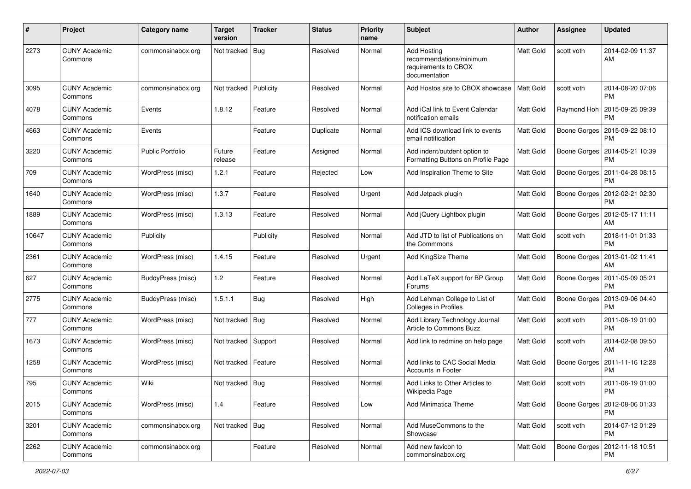| #     | Project                         | Category name           | <b>Target</b><br>version | <b>Tracker</b> | <b>Status</b> | <b>Priority</b><br>name | <b>Subject</b>                                                                         | Author           | <b>Assignee</b>     | <b>Updated</b>                        |
|-------|---------------------------------|-------------------------|--------------------------|----------------|---------------|-------------------------|----------------------------------------------------------------------------------------|------------------|---------------------|---------------------------------------|
| 2273  | <b>CUNY Academic</b><br>Commons | commonsinabox.org       | Not tracked              | Bug            | Resolved      | Normal                  | <b>Add Hosting</b><br>recommendations/minimum<br>requirements to CBOX<br>documentation | Matt Gold        | scott voth          | 2014-02-09 11:37<br>AM                |
| 3095  | <b>CUNY Academic</b><br>Commons | commonsinabox.org       | Not tracked              | Publicity      | Resolved      | Normal                  | Add Hostos site to CBOX showcase                                                       | Matt Gold        | scott voth          | 2014-08-20 07:06<br>PM                |
| 4078  | <b>CUNY Academic</b><br>Commons | Events                  | 1.8.12                   | Feature        | Resolved      | Normal                  | Add iCal link to Event Calendar<br>notification emails                                 | Matt Gold        | Raymond Hoh         | 2015-09-25 09:39<br>PM                |
| 4663  | <b>CUNY Academic</b><br>Commons | Events                  |                          | Feature        | Duplicate     | Normal                  | Add ICS download link to events<br>email notification                                  | Matt Gold        | Boone Gorges        | 2015-09-22 08:10<br>РM                |
| 3220  | <b>CUNY Academic</b><br>Commons | <b>Public Portfolio</b> | Future<br>release        | Feature        | Assigned      | Normal                  | Add indent/outdent option to<br>Formatting Buttons on Profile Page                     | Matt Gold        | Boone Gorges        | 2014-05-21 10:39<br>РM                |
| 709   | <b>CUNY Academic</b><br>Commons | WordPress (misc)        | 1.2.1                    | Feature        | Rejected      | Low                     | Add Inspiration Theme to Site                                                          | Matt Gold        | Boone Gorges        | 2011-04-28 08:15<br>РM                |
| 1640  | <b>CUNY Academic</b><br>Commons | WordPress (misc)        | 1.3.7                    | Feature        | Resolved      | Urgent                  | Add Jetpack plugin                                                                     | Matt Gold        | Boone Gorges        | 2012-02-21 02:30<br>PM                |
| 1889  | <b>CUNY Academic</b><br>Commons | WordPress (misc)        | 1.3.13                   | Feature        | Resolved      | Normal                  | Add jQuery Lightbox plugin                                                             | <b>Matt Gold</b> | Boone Gorges        | 2012-05-17 11:11<br>AM                |
| 10647 | <b>CUNY Academic</b><br>Commons | Publicity               |                          | Publicity      | Resolved      | Normal                  | Add JTD to list of Publications on<br>the Commmons                                     | Matt Gold        | scott voth          | 2018-11-01 01:33<br>PM                |
| 2361  | <b>CUNY Academic</b><br>Commons | WordPress (misc)        | 1.4.15                   | Feature        | Resolved      | Urgent                  | Add KingSize Theme                                                                     | Matt Gold        | Boone Gorges        | 2013-01-02 11:41<br>AM                |
| 627   | <b>CUNY Academic</b><br>Commons | BuddyPress (misc)       | 1.2                      | Feature        | Resolved      | Normal                  | Add LaTeX support for BP Group<br>Forums                                               | Matt Gold        | <b>Boone Gorges</b> | 2011-05-09 05:21<br>PM                |
| 2775  | <b>CUNY Academic</b><br>Commons | BuddyPress (misc)       | 1.5.1.1                  | <b>Bug</b>     | Resolved      | High                    | Add Lehman College to List of<br>Colleges in Profiles                                  | Matt Gold        | Boone Gorges        | 2013-09-06 04:40<br>РM                |
| 777   | <b>CUNY Academic</b><br>Commons | WordPress (misc)        | Not tracked   Bug        |                | Resolved      | Normal                  | Add Library Technology Journal<br>Article to Commons Buzz                              | Matt Gold        | scott voth          | 2011-06-19 01:00<br>PM                |
| 1673  | <b>CUNY Academic</b><br>Commons | WordPress (misc)        | Not tracked Support      |                | Resolved      | Normal                  | Add link to redmine on help page                                                       | Matt Gold        | scott voth          | 2014-02-08 09:50<br>AM                |
| 1258  | <b>CUNY Academic</b><br>Commons | WordPress (misc)        | Not tracked   Feature    |                | Resolved      | Normal                  | Add links to CAC Social Media<br>Accounts in Footer                                    | Matt Gold        | Boone Gorges        | 2011-11-16 12:28<br>PM                |
| 795   | <b>CUNY Academic</b><br>Commons | Wiki                    | Not tracked   Bug        |                | Resolved      | Normal                  | Add Links to Other Articles to<br>Wikipedia Page                                       | Matt Gold        | scott voth          | 2011-06-19 01:00<br>PM                |
| 2015  | <b>CUNY Academic</b><br>Commons | WordPress (misc)        | 1.4                      | Feature        | Resolved      | Low                     | <b>Add Minimatica Theme</b>                                                            | Matt Gold        |                     | Boone Gorges   2012-08-06 01:33<br>PM |
| 3201  | <b>CUNY Academic</b><br>Commons | commonsinabox.org       | Not tracked   Bug        |                | Resolved      | Normal                  | Add MuseCommons to the<br>Showcase                                                     | Matt Gold        | scott voth          | 2014-07-12 01:29<br>PM                |
| 2262  | <b>CUNY Academic</b><br>Commons | commonsinabox.org       |                          | Feature        | Resolved      | Normal                  | Add new favicon to<br>commonsinabox.org                                                | Matt Gold        |                     | Boone Gorges   2012-11-18 10:51<br>PM |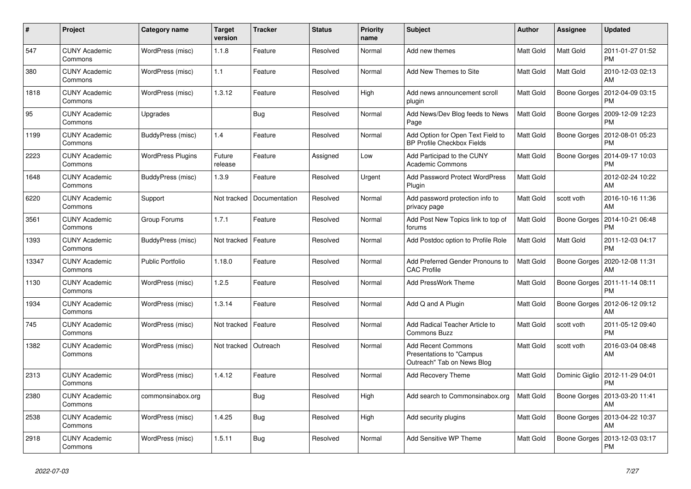| #     | Project                         | Category name            | <b>Target</b><br>version | <b>Tracker</b> | <b>Status</b> | <b>Priority</b><br>name | <b>Subject</b>                                                                      | <b>Author</b> | Assignee            | <b>Updated</b>                |
|-------|---------------------------------|--------------------------|--------------------------|----------------|---------------|-------------------------|-------------------------------------------------------------------------------------|---------------|---------------------|-------------------------------|
| 547   | <b>CUNY Academic</b><br>Commons | WordPress (misc)         | 1.1.8                    | Feature        | Resolved      | Normal                  | Add new themes                                                                      | Matt Gold     | Matt Gold           | 2011-01-27 01:52<br><b>PM</b> |
| 380   | <b>CUNY Academic</b><br>Commons | WordPress (misc)         | 1.1                      | Feature        | Resolved      | Normal                  | Add New Themes to Site                                                              | Matt Gold     | Matt Gold           | 2010-12-03 02:13<br>AM        |
| 1818  | <b>CUNY Academic</b><br>Commons | WordPress (misc)         | 1.3.12                   | Feature        | Resolved      | High                    | Add news announcement scroll<br>plugin                                              | Matt Gold     | Boone Gorges        | 2012-04-09 03:15<br>PM        |
| 95    | <b>CUNY Academic</b><br>Commons | Upgrades                 |                          | <b>Bug</b>     | Resolved      | Normal                  | Add News/Dev Blog feeds to News<br>Page                                             | Matt Gold     | Boone Gorges        | 2009-12-09 12:23<br><b>PM</b> |
| 1199  | <b>CUNY Academic</b><br>Commons | BuddyPress (misc)        | 1.4                      | Feature        | Resolved      | Normal                  | Add Option for Open Text Field to<br><b>BP Profile Checkbox Fields</b>              | Matt Gold     | Boone Gorges        | 2012-08-01 05:23<br>PM        |
| 2223  | <b>CUNY Academic</b><br>Commons | <b>WordPress Plugins</b> | Future<br>release        | Feature        | Assigned      | Low                     | Add Participad to the CUNY<br>Academic Commons                                      | Matt Gold     | Boone Gorges        | 2014-09-17 10:03<br>PM        |
| 1648  | <b>CUNY Academic</b><br>Commons | BuddyPress (misc)        | 1.3.9                    | Feature        | Resolved      | Urgent                  | <b>Add Password Protect WordPress</b><br>Plugin                                     | Matt Gold     |                     | 2012-02-24 10:22<br>AM        |
| 6220  | <b>CUNY Academic</b><br>Commons | Support                  | Not tracked              | Documentation  | Resolved      | Normal                  | Add password protection info to<br>privacy page                                     | Matt Gold     | scott voth          | 2016-10-16 11:36<br>AM        |
| 3561  | <b>CUNY Academic</b><br>Commons | Group Forums             | 1.7.1                    | Feature        | Resolved      | Normal                  | Add Post New Topics link to top of<br>forums                                        | Matt Gold     | <b>Boone Gorges</b> | 2014-10-21 06:48<br><b>PM</b> |
| 1393  | <b>CUNY Academic</b><br>Commons | BuddyPress (misc)        | Not tracked              | Feature        | Resolved      | Normal                  | Add Postdoc option to Profile Role                                                  | Matt Gold     | Matt Gold           | 2011-12-03 04:17<br><b>PM</b> |
| 13347 | <b>CUNY Academic</b><br>Commons | <b>Public Portfolio</b>  | 1.18.0                   | Feature        | Resolved      | Normal                  | Add Preferred Gender Pronouns to<br><b>CAC Profile</b>                              | Matt Gold     | Boone Gorges        | 2020-12-08 11:31<br>AM        |
| 1130  | <b>CUNY Academic</b><br>Commons | WordPress (misc)         | 1.2.5                    | Feature        | Resolved      | Normal                  | <b>Add PressWork Theme</b>                                                          | Matt Gold     | Boone Gorges        | 2011-11-14 08:11<br><b>PM</b> |
| 1934  | <b>CUNY Academic</b><br>Commons | WordPress (misc)         | 1.3.14                   | Feature        | Resolved      | Normal                  | Add Q and A Plugin                                                                  | Matt Gold     | Boone Gorges        | 2012-06-12 09:12<br>AM        |
| 745   | <b>CUNY Academic</b><br>Commons | WordPress (misc)         | Not tracked              | Feature        | Resolved      | Normal                  | Add Radical Teacher Article to<br><b>Commons Buzz</b>                               | Matt Gold     | scott voth          | 2011-05-12 09:40<br><b>PM</b> |
| 1382  | <b>CUNY Academic</b><br>Commons | WordPress (misc)         | Not tracked              | Outreach       | Resolved      | Normal                  | <b>Add Recent Commons</b><br>Presentations to "Campus<br>Outreach" Tab on News Blog | Matt Gold     | scott voth          | 2016-03-04 08:48<br>AM        |
| 2313  | <b>CUNY Academic</b><br>Commons | WordPress (misc)         | 1.4.12                   | Feature        | Resolved      | Normal                  | Add Recovery Theme                                                                  | Matt Gold     | Dominic Giglio      | 2012-11-29 04:01<br><b>PM</b> |
| 2380  | <b>CUNY Academic</b><br>Commons | commonsinabox.org        |                          | <b>Bug</b>     | Resolved      | High                    | Add search to Commonsinabox.org                                                     | Matt Gold     | Boone Gorges        | 2013-03-20 11:41<br>AM        |
| 2538  | <b>CUNY Academic</b><br>Commons | WordPress (misc)         | 1.4.25                   | Bug            | Resolved      | High                    | Add security plugins                                                                | Matt Gold     | Boone Gorges        | 2013-04-22 10:37<br>AM        |
| 2918  | <b>CUNY Academic</b><br>Commons | WordPress (misc)         | 1.5.11                   | Bug            | Resolved      | Normal                  | Add Sensitive WP Theme                                                              | Matt Gold     | Boone Gorges        | 2013-12-03 03:17<br>PM        |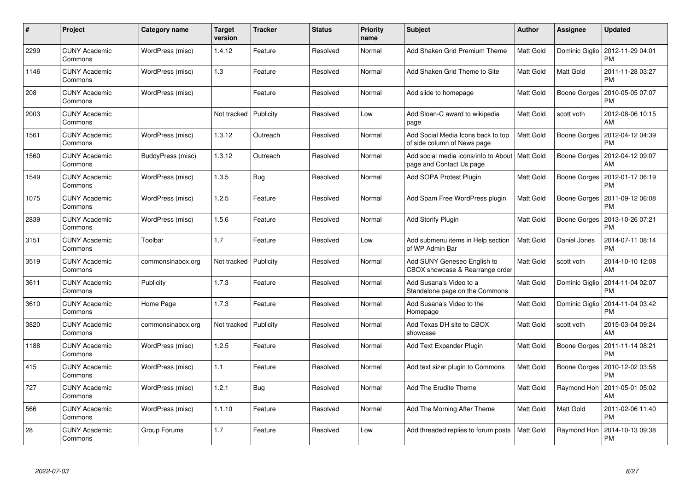| #    | Project                         | Category name     | <b>Target</b><br>version | Tracker   | <b>Status</b> | <b>Priority</b><br>name | <b>Subject</b>                                                               | <b>Author</b>    | Assignee       | <b>Updated</b>                |
|------|---------------------------------|-------------------|--------------------------|-----------|---------------|-------------------------|------------------------------------------------------------------------------|------------------|----------------|-------------------------------|
| 2299 | <b>CUNY Academic</b><br>Commons | WordPress (misc)  | 1.4.12                   | Feature   | Resolved      | Normal                  | Add Shaken Grid Premium Theme                                                | Matt Gold        | Dominic Giglio | 2012-11-29 04:01<br><b>PM</b> |
| 1146 | <b>CUNY Academic</b><br>Commons | WordPress (misc)  | 1.3                      | Feature   | Resolved      | Normal                  | Add Shaken Grid Theme to Site                                                | Matt Gold        | Matt Gold      | 2011-11-28 03:27<br><b>PM</b> |
| 208  | <b>CUNY Academic</b><br>Commons | WordPress (misc)  |                          | Feature   | Resolved      | Normal                  | Add slide to homepage                                                        | Matt Gold        | Boone Gorges   | 2010-05-05 07:07<br>PM        |
| 2003 | <b>CUNY Academic</b><br>Commons |                   | Not tracked              | Publicity | Resolved      | Low                     | Add Sloan-C award to wikipedia<br>page                                       | Matt Gold        | scott voth     | 2012-08-06 10:15<br>AM        |
| 1561 | <b>CUNY Academic</b><br>Commons | WordPress (misc)  | 1.3.12                   | Outreach  | Resolved      | Normal                  | Add Social Media Icons back to top<br>of side column of News page            | Matt Gold        | Boone Gorges   | 2012-04-12 04:39<br><b>PM</b> |
| 1560 | <b>CUNY Academic</b><br>Commons | BuddyPress (misc) | 1.3.12                   | Outreach  | Resolved      | Normal                  | Add social media icons/info to About   Matt Gold<br>page and Contact Us page |                  | Boone Gorges   | 2012-04-12 09:07<br>AM        |
| 1549 | <b>CUNY Academic</b><br>Commons | WordPress (misc)  | 1.3.5                    | Bug       | Resolved      | Normal                  | Add SOPA Protest Plugin                                                      | Matt Gold        | Boone Gorges   | 2012-01-17 06:19<br><b>PM</b> |
| 1075 | <b>CUNY Academic</b><br>Commons | WordPress (misc)  | 1.2.5                    | Feature   | Resolved      | Normal                  | Add Spam Free WordPress plugin                                               | Matt Gold        | Boone Gorges   | 2011-09-12 06:08<br><b>PM</b> |
| 2839 | <b>CUNY Academic</b><br>Commons | WordPress (misc)  | 1.5.6                    | Feature   | Resolved      | Normal                  | <b>Add Storify Plugin</b>                                                    | Matt Gold        | Boone Gorges   | 2013-10-26 07:21<br><b>PM</b> |
| 3151 | <b>CUNY Academic</b><br>Commons | Toolbar           | 1.7                      | Feature   | Resolved      | Low                     | Add submenu items in Help section<br>of WP Admin Bar                         | Matt Gold        | Daniel Jones   | 2014-07-11 08:14<br><b>PM</b> |
| 3519 | <b>CUNY Academic</b><br>Commons | commonsinabox.org | Not tracked              | Publicity | Resolved      | Normal                  | Add SUNY Geneseo English to<br>CBOX showcase & Rearrange order               | Matt Gold        | scott voth     | 2014-10-10 12:08<br>AM        |
| 3611 | <b>CUNY Academic</b><br>Commons | Publicity         | 1.7.3                    | Feature   | Resolved      | Normal                  | Add Susana's Video to a<br>Standalone page on the Commons                    | <b>Matt Gold</b> | Dominic Giglio | 2014-11-04 02:07<br><b>PM</b> |
| 3610 | <b>CUNY Academic</b><br>Commons | Home Page         | 1.7.3                    | Feature   | Resolved      | Normal                  | Add Susana's Video to the<br>Homepage                                        | Matt Gold        | Dominic Giglio | 2014-11-04 03:42<br><b>PM</b> |
| 3820 | <b>CUNY Academic</b><br>Commons | commonsinabox.org | Not tracked              | Publicity | Resolved      | Normal                  | Add Texas DH site to CBOX<br>showcase                                        | <b>Matt Gold</b> | scott voth     | 2015-03-04 09:24<br>AM        |
| 1188 | <b>CUNY Academic</b><br>Commons | WordPress (misc)  | 1.2.5                    | Feature   | Resolved      | Normal                  | Add Text Expander Plugin                                                     | Matt Gold        | Boone Gorges   | 2011-11-14 08:21<br><b>PM</b> |
| 415  | <b>CUNY Academic</b><br>Commons | WordPress (misc)  | 1.1                      | Feature   | Resolved      | Normal                  | Add text sizer plugin to Commons                                             | Matt Gold        | Boone Gorges   | 2010-12-02 03:58<br><b>PM</b> |
| 727  | <b>CUNY Academic</b><br>Commons | WordPress (misc)  | 1.2.1                    | Bug       | Resolved      | Normal                  | Add The Erudite Theme                                                        | Matt Gold        | Raymond Hoh    | 2011-05-01 05:02<br>AM        |
| 566  | <b>CUNY Academic</b><br>Commons | WordPress (misc)  | 1.1.10                   | Feature   | Resolved      | Normal                  | Add The Morning After Theme                                                  | Matt Gold        | Matt Gold      | 2011-02-06 11:40<br><b>PM</b> |
| 28   | CUNY Academic<br>Commons        | Group Forums      | 1.7                      | Feature   | Resolved      | Low                     | Add threaded replies to forum posts                                          | Matt Gold        | Raymond Hoh    | 2014-10-13 09:38<br><b>PM</b> |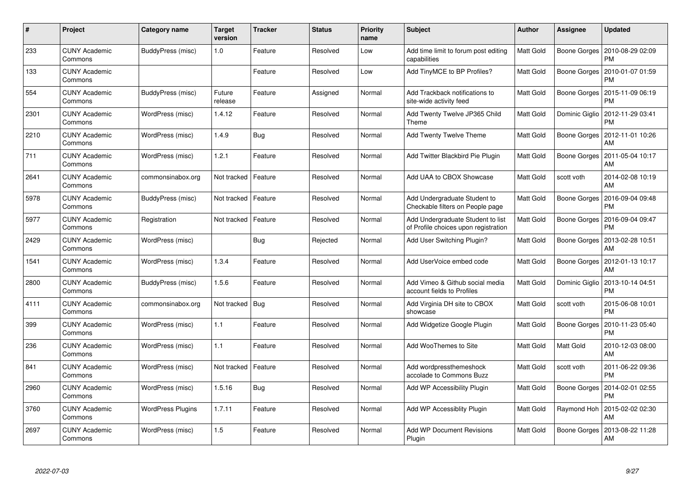| #    | Project                         | Category name            | <b>Target</b><br>version | Tracker | <b>Status</b> | <b>Priority</b><br>name | <b>Subject</b>                                                            | <b>Author</b> | Assignee       | <b>Updated</b>                |
|------|---------------------------------|--------------------------|--------------------------|---------|---------------|-------------------------|---------------------------------------------------------------------------|---------------|----------------|-------------------------------|
| 233  | <b>CUNY Academic</b><br>Commons | BuddyPress (misc)        | $1.0$                    | Feature | Resolved      | Low                     | Add time limit to forum post editing<br>capabilities                      | Matt Gold     | Boone Gorges   | 2010-08-29 02:09<br><b>PM</b> |
| 133  | <b>CUNY Academic</b><br>Commons |                          |                          | Feature | Resolved      | Low                     | Add TinyMCE to BP Profiles?                                               | Matt Gold     | Boone Gorges   | 2010-01-07 01:59<br><b>PM</b> |
| 554  | <b>CUNY Academic</b><br>Commons | BuddyPress (misc)        | Future<br>release        | Feature | Assigned      | Normal                  | Add Trackback notifications to<br>site-wide activity feed                 | Matt Gold     | Boone Gorges   | 2015-11-09 06:19<br><b>PM</b> |
| 2301 | <b>CUNY Academic</b><br>Commons | WordPress (misc)         | 1.4.12                   | Feature | Resolved      | Normal                  | Add Twenty Twelve JP365 Child<br>Theme                                    | Matt Gold     | Dominic Giglio | 2012-11-29 03:41<br>PM        |
| 2210 | <b>CUNY Academic</b><br>Commons | WordPress (misc)         | 1.4.9                    | Bug     | Resolved      | Normal                  | Add Twenty Twelve Theme                                                   | Matt Gold     | Boone Gorges   | 2012-11-01 10:26<br>AM        |
| 711  | <b>CUNY Academic</b><br>Commons | WordPress (misc)         | 1.2.1                    | Feature | Resolved      | Normal                  | Add Twitter Blackbird Pie Plugin                                          | Matt Gold     | Boone Gorges   | 2011-05-04 10:17<br>AM        |
| 2641 | <b>CUNY Academic</b><br>Commons | commonsinabox.org        | Not tracked              | Feature | Resolved      | Normal                  | Add UAA to CBOX Showcase                                                  | Matt Gold     | scott voth     | 2014-02-08 10:19<br>AM        |
| 5978 | <b>CUNY Academic</b><br>Commons | BuddyPress (misc)        | Not tracked              | Feature | Resolved      | Normal                  | Add Undergraduate Student to<br>Checkable filters on People page          | Matt Gold     | Boone Gorges   | 2016-09-04 09:48<br><b>PM</b> |
| 5977 | <b>CUNY Academic</b><br>Commons | Registration             | Not tracked              | Feature | Resolved      | Normal                  | Add Undergraduate Student to list<br>of Profile choices upon registration | Matt Gold     | Boone Gorges   | 2016-09-04 09:47<br><b>PM</b> |
| 2429 | <b>CUNY Academic</b><br>Commons | WordPress (misc)         |                          | Bug     | Rejected      | Normal                  | Add User Switching Plugin?                                                | Matt Gold     | Boone Gorges   | 2013-02-28 10:51<br>AM        |
| 1541 | <b>CUNY Academic</b><br>Commons | WordPress (misc)         | 1.3.4                    | Feature | Resolved      | Normal                  | Add UserVoice embed code                                                  | Matt Gold     | Boone Gorges   | 2012-01-13 10:17<br>AM        |
| 2800 | <b>CUNY Academic</b><br>Commons | BuddyPress (misc)        | 1.5.6                    | Feature | Resolved      | Normal                  | Add Vimeo & Github social media<br>account fields to Profiles             | Matt Gold     | Dominic Giglio | 2013-10-14 04:51<br><b>PM</b> |
| 4111 | <b>CUNY Academic</b><br>Commons | commonsinabox.org        | Not tracked              | Bug     | Resolved      | Normal                  | Add Virginia DH site to CBOX<br>showcase                                  | Matt Gold     | scott voth     | 2015-06-08 10:01<br><b>PM</b> |
| 399  | <b>CUNY Academic</b><br>Commons | WordPress (misc)         | 1.1                      | Feature | Resolved      | Normal                  | Add Widgetize Google Plugin                                               | Matt Gold     | Boone Gorges   | 2010-11-23 05:40<br>PM        |
| 236  | <b>CUNY Academic</b><br>Commons | WordPress (misc)         | 1.1                      | Feature | Resolved      | Normal                  | Add WooThemes to Site                                                     | Matt Gold     | Matt Gold      | 2010-12-03 08:00<br>AM        |
| 841  | <b>CUNY Academic</b><br>Commons | WordPress (misc)         | Not tracked              | Feature | Resolved      | Normal                  | Add wordpressthemeshock<br>accolade to Commons Buzz                       | Matt Gold     | scott voth     | 2011-06-22 09:36<br><b>PM</b> |
| 2960 | <b>CUNY Academic</b><br>Commons | WordPress (misc)         | 1.5.16                   | Bug     | Resolved      | Normal                  | Add WP Accessibility Plugin                                               | Matt Gold     | Boone Gorges   | 2014-02-01 02:55<br><b>PM</b> |
| 3760 | <b>CUNY Academic</b><br>Commons | <b>WordPress Plugins</b> | 1.7.11                   | Feature | Resolved      | Normal                  | Add WP Accessiblity Plugin                                                | Matt Gold     | Raymond Hoh    | 2015-02-02 02:30<br>AM        |
| 2697 | CUNY Academic<br>Commons        | WordPress (misc)         | 1.5                      | Feature | Resolved      | Normal                  | <b>Add WP Document Revisions</b><br>Plugin                                | Matt Gold     | Boone Gorges   | 2013-08-22 11:28<br>AM        |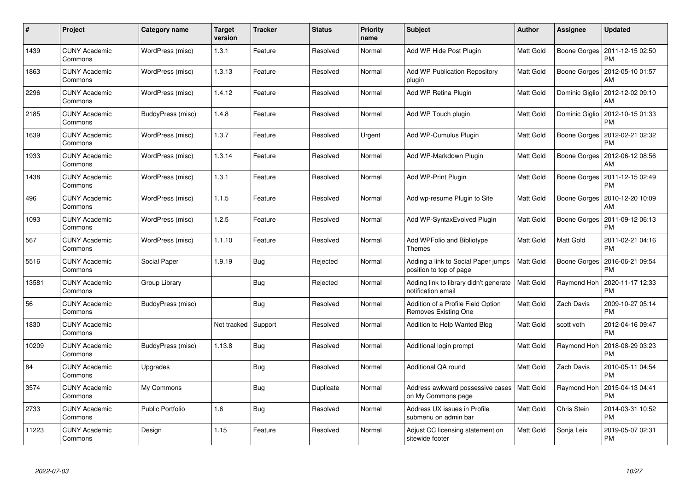| $\#$  | Project                         | <b>Category name</b>    | <b>Target</b><br>version | <b>Tracker</b> | <b>Status</b> | <b>Priority</b><br>name | <b>Subject</b>                                                     | <b>Author</b> | Assignee       | <b>Updated</b>                |
|-------|---------------------------------|-------------------------|--------------------------|----------------|---------------|-------------------------|--------------------------------------------------------------------|---------------|----------------|-------------------------------|
| 1439  | <b>CUNY Academic</b><br>Commons | WordPress (misc)        | 1.3.1                    | Feature        | Resolved      | Normal                  | Add WP Hide Post Plugin                                            | Matt Gold     | Boone Gorges   | 2011-12-15 02:50<br><b>PM</b> |
| 1863  | <b>CUNY Academic</b><br>Commons | WordPress (misc)        | 1.3.13                   | Feature        | Resolved      | Normal                  | <b>Add WP Publication Repository</b><br>plugin                     | Matt Gold     | Boone Gorges   | 2012-05-10 01:57<br>AM        |
| 2296  | <b>CUNY Academic</b><br>Commons | WordPress (misc)        | 1.4.12                   | Feature        | Resolved      | Normal                  | Add WP Retina Plugin                                               | Matt Gold     | Dominic Giglio | 2012-12-02 09:10<br>AM        |
| 2185  | <b>CUNY Academic</b><br>Commons | BuddyPress (misc)       | 1.4.8                    | Feature        | Resolved      | Normal                  | Add WP Touch plugin                                                | Matt Gold     | Dominic Giglio | 2012-10-15 01:33<br>PM        |
| 1639  | <b>CUNY Academic</b><br>Commons | WordPress (misc)        | 1.3.7                    | Feature        | Resolved      | Urgent                  | Add WP-Cumulus Plugin                                              | Matt Gold     | Boone Gorges   | 2012-02-21 02:32<br><b>PM</b> |
| 1933  | <b>CUNY Academic</b><br>Commons | WordPress (misc)        | 1.3.14                   | Feature        | Resolved      | Normal                  | Add WP-Markdown Plugin                                             | Matt Gold     | Boone Gorges   | 2012-06-12 08:56<br>AM        |
| 1438  | <b>CUNY Academic</b><br>Commons | WordPress (misc)        | 1.3.1                    | Feature        | Resolved      | Normal                  | Add WP-Print Plugin                                                | Matt Gold     | Boone Gorges   | 2011-12-15 02:49<br>PM        |
| 496   | <b>CUNY Academic</b><br>Commons | WordPress (misc)        | 1.1.5                    | Feature        | Resolved      | Normal                  | Add wp-resume Plugin to Site                                       | Matt Gold     | Boone Gorges   | 2010-12-20 10:09<br>AM        |
| 1093  | <b>CUNY Academic</b><br>Commons | WordPress (misc)        | 1.2.5                    | Feature        | Resolved      | Normal                  | Add WP-Syntax Evolved Plugin                                       | Matt Gold     | Boone Gorges   | 2011-09-12 06:13<br><b>PM</b> |
| 567   | <b>CUNY Academic</b><br>Commons | WordPress (misc)        | 1.1.10                   | Feature        | Resolved      | Normal                  | Add WPFolio and Bibliotype<br><b>Themes</b>                        | Matt Gold     | Matt Gold      | 2011-02-21 04:16<br><b>PM</b> |
| 5516  | <b>CUNY Academic</b><br>Commons | Social Paper            | 1.9.19                   | Bug            | Rejected      | Normal                  | Adding a link to Social Paper jumps<br>position to top of page     | Matt Gold     | Boone Gorges   | 2016-06-21 09:54<br><b>PM</b> |
| 13581 | <b>CUNY Academic</b><br>Commons | Group Library           |                          | Bug            | Rejected      | Normal                  | Adding link to library didn't generate<br>notification email       | Matt Gold     | Raymond Hoh    | 2020-11-17 12:33<br>PM        |
| 56    | <b>CUNY Academic</b><br>Commons | BuddyPress (misc)       |                          | <b>Bug</b>     | Resolved      | Normal                  | Addition of a Profile Field Option<br>Removes Existing One         | Matt Gold     | Zach Davis     | 2009-10-27 05:14<br><b>PM</b> |
| 1830  | <b>CUNY Academic</b><br>Commons |                         | Not tracked              | Support        | Resolved      | Normal                  | Addition to Help Wanted Blog                                       | Matt Gold     | scott voth     | 2012-04-16 09:47<br><b>PM</b> |
| 10209 | <b>CUNY Academic</b><br>Commons | BuddyPress (misc)       | 1.13.8                   | Bug            | Resolved      | Normal                  | Additional login prompt                                            | Matt Gold     | Raymond Hoh    | 2018-08-29 03:23<br><b>PM</b> |
| 84    | <b>CUNY Academic</b><br>Commons | Upgrades                |                          | Bug            | Resolved      | Normal                  | Additional QA round                                                | Matt Gold     | Zach Davis     | 2010-05-11 04:54<br><b>PM</b> |
| 3574  | <b>CUNY Academic</b><br>Commons | My Commons              |                          | <b>Bug</b>     | Duplicate     | Normal                  | Address awkward possessive cases   Matt Gold<br>on My Commons page |               | Raymond Hoh    | 2015-04-13 04:41<br><b>PM</b> |
| 2733  | <b>CUNY Academic</b><br>Commons | <b>Public Portfolio</b> | 1.6                      | Bug            | Resolved      | Normal                  | Address UX issues in Profile<br>submenu on admin bar               | Matt Gold     | Chris Stein    | 2014-03-31 10:52<br><b>PM</b> |
| 11223 | <b>CUNY Academic</b><br>Commons | Design                  | 1.15                     | Feature        | Resolved      | Normal                  | Adjust CC licensing statement on<br>sitewide footer                | Matt Gold     | Sonja Leix     | 2019-05-07 02:31<br><b>PM</b> |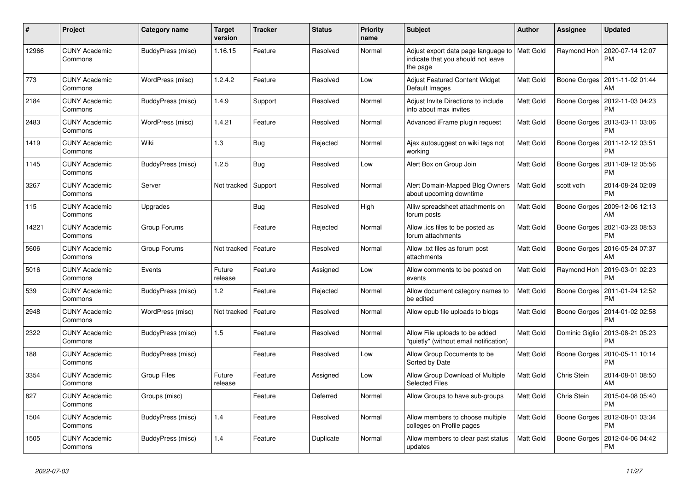| $\pmb{\#}$ | Project                         | Category name      | <b>Target</b><br>version | <b>Tracker</b> | <b>Status</b> | Priority<br>name | <b>Subject</b>                                                                        | <b>Author</b> | Assignee       | <b>Updated</b>                               |
|------------|---------------------------------|--------------------|--------------------------|----------------|---------------|------------------|---------------------------------------------------------------------------------------|---------------|----------------|----------------------------------------------|
| 12966      | <b>CUNY Academic</b><br>Commons | BuddyPress (misc)  | 1.16.15                  | Feature        | Resolved      | Normal           | Adjust export data page language to<br>indicate that you should not leave<br>the page | Matt Gold     | Raymond Hoh    | 2020-07-14 12:07<br><b>PM</b>                |
| 773        | <b>CUNY Academic</b><br>Commons | WordPress (misc)   | 1.2.4.2                  | Feature        | Resolved      | Low              | Adjust Featured Content Widget<br>Default Images                                      | Matt Gold     |                | Boone Gorges   2011-11-02 01:44<br>AM        |
| 2184       | <b>CUNY Academic</b><br>Commons | BuddyPress (misc)  | 1.4.9                    | Support        | Resolved      | Normal           | Adjust Invite Directions to include<br>info about max invites                         | Matt Gold     | Boone Gorges   | 2012-11-03 04:23<br><b>PM</b>                |
| 2483       | <b>CUNY Academic</b><br>Commons | WordPress (misc)   | 1.4.21                   | Feature        | Resolved      | Normal           | Advanced iFrame plugin request                                                        | Matt Gold     | Boone Gorges   | 2013-03-11 03:06<br><b>PM</b>                |
| 1419       | <b>CUNY Academic</b><br>Commons | Wiki               | 1.3                      | <b>Bug</b>     | Rejected      | Normal           | Ajax autosuggest on wiki tags not<br>working                                          | Matt Gold     | Boone Gorges   | 2011-12-12 03:51<br><b>PM</b>                |
| 1145       | <b>CUNY Academic</b><br>Commons | BuddyPress (misc)  | 1.2.5                    | Bug            | Resolved      | Low              | Alert Box on Group Join                                                               | Matt Gold     | Boone Gorges   | 2011-09-12 05:56<br><b>PM</b>                |
| 3267       | <b>CUNY Academic</b><br>Commons | Server             | Not tracked              | Support        | Resolved      | Normal           | Alert Domain-Mapped Blog Owners<br>about upcoming downtime                            | Matt Gold     | scott voth     | 2014-08-24 02:09<br><b>PM</b>                |
| 115        | <b>CUNY Academic</b><br>Commons | Upgrades           |                          | Bug            | Resolved      | High             | Alliw spreadsheet attachments on<br>forum posts                                       | Matt Gold     | Boone Gorges   | 2009-12-06 12:13<br>AM                       |
| 14221      | <b>CUNY Academic</b><br>Commons | Group Forums       |                          | Feature        | Rejected      | Normal           | Allow .ics files to be posted as<br>forum attachments                                 | Matt Gold     |                | Boone Gorges   2021-03-23 08:53<br><b>PM</b> |
| 5606       | <b>CUNY Academic</b><br>Commons | Group Forums       | Not tracked              | Feature        | Resolved      | Normal           | Allow .txt files as forum post<br>attachments                                         | Matt Gold     | Boone Gorges   | 2016-05-24 07:37<br>AM                       |
| 5016       | <b>CUNY Academic</b><br>Commons | Events             | Future<br>release        | Feature        | Assigned      | Low              | Allow comments to be posted on<br>events                                              | Matt Gold     | Raymond Hoh    | 2019-03-01 02:23<br><b>PM</b>                |
| 539        | <b>CUNY Academic</b><br>Commons | BuddyPress (misc)  | 1.2                      | Feature        | Rejected      | Normal           | Allow document category names to<br>be edited                                         | Matt Gold     | Boone Gorges   | 2011-01-24 12:52<br><b>PM</b>                |
| 2948       | <b>CUNY Academic</b><br>Commons | WordPress (misc)   | Not tracked              | Feature        | Resolved      | Normal           | Allow epub file uploads to blogs                                                      | Matt Gold     | Boone Gorges   | 2014-01-02 02:58<br><b>PM</b>                |
| 2322       | <b>CUNY Academic</b><br>Commons | BuddyPress (misc)  | 1.5                      | Feature        | Resolved      | Normal           | Allow File uploads to be added<br>'quietly" (without email notification)              | Matt Gold     | Dominic Giglio | 2013-08-21 05:23<br><b>PM</b>                |
| 188        | <b>CUNY Academic</b><br>Commons | BuddyPress (misc)  |                          | Feature        | Resolved      | Low              | Allow Group Documents to be<br>Sorted by Date                                         | Matt Gold     | Boone Gorges   | 2010-05-11 10:14<br><b>PM</b>                |
| 3354       | <b>CUNY Academic</b><br>Commons | <b>Group Files</b> | Future<br>release        | Feature        | Assigned      | Low              | Allow Group Download of Multiple<br><b>Selected Files</b>                             | Matt Gold     | Chris Stein    | 2014-08-01 08:50<br>AM                       |
| 827        | <b>CUNY Academic</b><br>Commons | Groups (misc)      |                          | Feature        | Deferred      | Normal           | Allow Groups to have sub-groups                                                       | Matt Gold     | Chris Stein    | 2015-04-08 05:40<br><b>PM</b>                |
| 1504       | <b>CUNY Academic</b><br>Commons | BuddyPress (misc)  | 1.4                      | Feature        | Resolved      | Normal           | Allow members to choose multiple<br>colleges on Profile pages                         | Matt Gold     | Boone Gorges   | 2012-08-01 03:34<br>PM                       |
| 1505       | <b>CUNY Academic</b><br>Commons | BuddyPress (misc)  | 1.4                      | Feature        | Duplicate     | Normal           | Allow members to clear past status<br>updates                                         | Matt Gold     | Boone Gorges   | 2012-04-06 04:42<br>PM                       |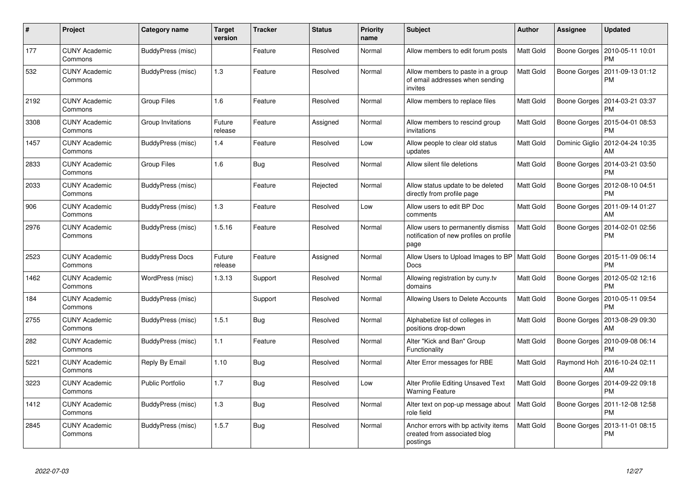| #    | Project                         | <b>Category name</b>    | <b>Target</b><br>version | <b>Tracker</b> | <b>Status</b> | <b>Priority</b><br>name | <b>Subject</b>                                                                        | <b>Author</b>    | Assignee       | <b>Updated</b>                        |
|------|---------------------------------|-------------------------|--------------------------|----------------|---------------|-------------------------|---------------------------------------------------------------------------------------|------------------|----------------|---------------------------------------|
| 177  | <b>CUNY Academic</b><br>Commons | BuddyPress (misc)       |                          | Feature        | Resolved      | Normal                  | Allow members to edit forum posts                                                     | Matt Gold        | Boone Gorges   | 2010-05-11 10:01<br>PM                |
| 532  | <b>CUNY Academic</b><br>Commons | BuddyPress (misc)       | 1.3                      | Feature        | Resolved      | Normal                  | Allow members to paste in a group<br>of email addresses when sending<br>invites       | Matt Gold        | Boone Gorges   | 2011-09-13 01:12<br>PM                |
| 2192 | <b>CUNY Academic</b><br>Commons | Group Files             | 1.6                      | Feature        | Resolved      | Normal                  | Allow members to replace files                                                        | Matt Gold        | Boone Gorges   | 2014-03-21 03:37<br>PM                |
| 3308 | <b>CUNY Academic</b><br>Commons | Group Invitations       | Future<br>release        | Feature        | Assigned      | Normal                  | Allow members to rescind group<br>invitations                                         | Matt Gold        | Boone Gorges   | 2015-04-01 08:53<br>РM                |
| 1457 | <b>CUNY Academic</b><br>Commons | BuddyPress (misc)       | 1.4                      | Feature        | Resolved      | Low                     | Allow people to clear old status<br>updates                                           | Matt Gold        | Dominic Giglio | 2012-04-24 10:35<br>AM                |
| 2833 | <b>CUNY Academic</b><br>Commons | <b>Group Files</b>      | 1.6                      | Bug            | Resolved      | Normal                  | Allow silent file deletions                                                           | <b>Matt Gold</b> |                | Boone Gorges   2014-03-21 03:50<br>PM |
| 2033 | <b>CUNY Academic</b><br>Commons | BuddyPress (misc)       |                          | Feature        | Rejected      | Normal                  | Allow status update to be deleted<br>directly from profile page                       | <b>Matt Gold</b> | Boone Gorges   | 2012-08-10 04:51<br><b>PM</b>         |
| 906  | <b>CUNY Academic</b><br>Commons | BuddyPress (misc)       | 1.3                      | Feature        | Resolved      | Low                     | Allow users to edit BP Doc<br>comments                                                | <b>Matt Gold</b> | Boone Gorges   | 2011-09-14 01:27<br>AM                |
| 2976 | <b>CUNY Academic</b><br>Commons | BuddyPress (misc)       | 1.5.16                   | Feature        | Resolved      | Normal                  | Allow users to permanently dismiss<br>notification of new profiles on profile<br>page | Matt Gold        | Boone Gorges   | 2014-02-01 02:56<br>PM                |
| 2523 | <b>CUNY Academic</b><br>Commons | <b>BuddyPress Docs</b>  | Future<br>release        | Feature        | Assigned      | Normal                  | Allow Users to Upload Images to BP<br>Docs                                            | <b>Matt Gold</b> | Boone Gorges   | 2015-11-09 06:14<br>PM                |
| 1462 | <b>CUNY Academic</b><br>Commons | WordPress (misc)        | 1.3.13                   | Support        | Resolved      | Normal                  | Allowing registration by cuny.tv<br>domains                                           | <b>Matt Gold</b> | Boone Gorges   | 2012-05-02 12:16<br><b>PM</b>         |
| 184  | <b>CUNY Academic</b><br>Commons | BuddyPress (misc)       |                          | Support        | Resolved      | Normal                  | Allowing Users to Delete Accounts                                                     | Matt Gold        | Boone Gorges   | 2010-05-11 09:54<br><b>PM</b>         |
| 2755 | <b>CUNY Academic</b><br>Commons | BuddyPress (misc)       | 1.5.1                    | Bug            | Resolved      | Normal                  | Alphabetize list of colleges in<br>positions drop-down                                | Matt Gold        | Boone Gorges   | 2013-08-29 09:30<br>AM                |
| 282  | <b>CUNY Academic</b><br>Commons | BuddyPress (misc)       | 1.1                      | Feature        | Resolved      | Normal                  | Alter "Kick and Ban" Group<br>Functionality                                           | Matt Gold        | Boone Gorges   | 2010-09-08 06:14<br>РM                |
| 5221 | <b>CUNY Academic</b><br>Commons | Reply By Email          | 1.10                     | Bug            | Resolved      | Normal                  | Alter Error messages for RBE                                                          | Matt Gold        | Raymond Hoh    | 2016-10-24 02:11<br>AM                |
| 3223 | <b>CUNY Academic</b><br>Commons | <b>Public Portfolio</b> | 1.7                      | <b>Bug</b>     | Resolved      | Low                     | Alter Profile Editing Unsaved Text<br><b>Warning Feature</b>                          | Matt Gold        | Boone Gorges   | 2014-09-22 09:18<br>PM                |
| 1412 | <b>CUNY Academic</b><br>Commons | BuddyPress (misc)       | 1.3                      | Bug            | Resolved      | Normal                  | Alter text on pop-up message about<br>role field                                      | Matt Gold        | Boone Gorges   | 2011-12-08 12:58<br>PM                |
| 2845 | <b>CUNY Academic</b><br>Commons | BuddyPress (misc)       | 1.5.7                    | Bug            | Resolved      | Normal                  | Anchor errors with bp activity items<br>created from associated blog<br>postings      | Matt Gold        | Boone Gorges   | 2013-11-01 08:15<br>PM                |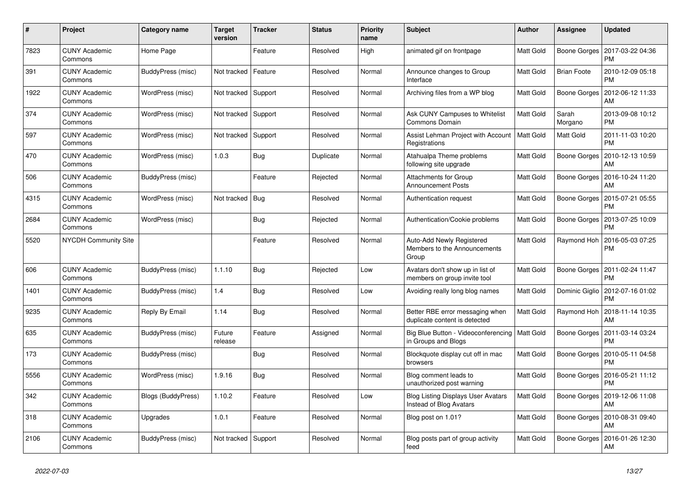| #    | Project                         | <b>Category name</b> | <b>Target</b><br>version | <b>Tracker</b> | <b>Status</b> | <b>Priority</b><br>name | <b>Subject</b>                                                       | <b>Author</b> | Assignee           | <b>Updated</b>                |
|------|---------------------------------|----------------------|--------------------------|----------------|---------------|-------------------------|----------------------------------------------------------------------|---------------|--------------------|-------------------------------|
| 7823 | <b>CUNY Academic</b><br>Commons | Home Page            |                          | Feature        | Resolved      | High                    | animated gif on frontpage                                            | Matt Gold     | Boone Gorges       | 2017-03-22 04:36<br><b>PM</b> |
| 391  | <b>CUNY Academic</b><br>Commons | BuddyPress (misc)    | Not tracked              | Feature        | Resolved      | Normal                  | Announce changes to Group<br>Interface                               | Matt Gold     | <b>Brian Foote</b> | 2010-12-09 05:18<br><b>PM</b> |
| 1922 | <b>CUNY Academic</b><br>Commons | WordPress (misc)     | Not tracked              | Support        | Resolved      | Normal                  | Archiving files from a WP blog                                       | Matt Gold     | Boone Gorges       | 2012-06-12 11:33<br>AM        |
| 374  | <b>CUNY Academic</b><br>Commons | WordPress (misc)     | Not tracked              | Support        | Resolved      | Normal                  | Ask CUNY Campuses to Whitelist<br>Commons Domain                     | Matt Gold     | Sarah<br>Morgano   | 2013-09-08 10:12<br><b>PM</b> |
| 597  | <b>CUNY Academic</b><br>Commons | WordPress (misc)     | Not tracked              | Support        | Resolved      | Normal                  | Assist Lehman Project with Account<br>Registrations                  | Matt Gold     | Matt Gold          | 2011-11-03 10:20<br><b>PM</b> |
| 470  | <b>CUNY Academic</b><br>Commons | WordPress (misc)     | 1.0.3                    | Bug            | Duplicate     | Normal                  | Atahualpa Theme problems<br>following site upgrade                   | Matt Gold     | Boone Gorges       | 2010-12-13 10:59<br>AM        |
| 506  | <b>CUNY Academic</b><br>Commons | BuddyPress (misc)    |                          | Feature        | Rejected      | Normal                  | <b>Attachments for Group</b><br><b>Announcement Posts</b>            | Matt Gold     | Boone Gorges       | 2016-10-24 11:20<br>AM        |
| 4315 | <b>CUNY Academic</b><br>Commons | WordPress (misc)     | Not tracked              | Bug            | Resolved      | Normal                  | Authentication request                                               | Matt Gold     | Boone Gorges       | 2015-07-21 05:55<br><b>PM</b> |
| 2684 | <b>CUNY Academic</b><br>Commons | WordPress (misc)     |                          | Bug            | Rejected      | Normal                  | Authentication/Cookie problems                                       | Matt Gold     | Boone Gorges       | 2013-07-25 10:09<br><b>PM</b> |
| 5520 | <b>NYCDH Community Site</b>     |                      |                          | Feature        | Resolved      | Normal                  | Auto-Add Newly Registered<br>Members to the Announcements<br>Group   | Matt Gold     | Raymond Hoh        | 2016-05-03 07:25<br><b>PM</b> |
| 606  | <b>CUNY Academic</b><br>Commons | BuddyPress (misc)    | 1.1.10                   | <b>Bug</b>     | Rejected      | Low                     | Avatars don't show up in list of<br>members on group invite tool     | Matt Gold     | Boone Gorges       | 2011-02-24 11:47<br><b>PM</b> |
| 1401 | <b>CUNY Academic</b><br>Commons | BuddyPress (misc)    | 1.4                      | Bug            | Resolved      | Low                     | Avoiding really long blog names                                      | Matt Gold     | Dominic Giglio     | 2012-07-16 01:02<br><b>PM</b> |
| 9235 | <b>CUNY Academic</b><br>Commons | Reply By Email       | 1.14                     | Bug            | Resolved      | Normal                  | Better RBE error messaging when<br>duplicate content is detected     | Matt Gold     | Raymond Hoh        | 2018-11-14 10:35<br>AM        |
| 635  | <b>CUNY Academic</b><br>Commons | BuddyPress (misc)    | Future<br>release        | Feature        | Assigned      | Normal                  | Big Blue Button - Videoconferencing<br>in Groups and Blogs           | Matt Gold     | Boone Gorges       | 2011-03-14 03:24<br><b>PM</b> |
| 173  | <b>CUNY Academic</b><br>Commons | BuddyPress (misc)    |                          | Bug            | Resolved      | Normal                  | Blockquote display cut off in mac<br>browsers                        | Matt Gold     | Boone Gorges       | 2010-05-11 04:58<br><b>PM</b> |
| 5556 | <b>CUNY Academic</b><br>Commons | WordPress (misc)     | 1.9.16                   | Bug            | Resolved      | Normal                  | Blog comment leads to<br>unauthorized post warning                   | Matt Gold     | Boone Gorges       | 2016-05-21 11:12<br><b>PM</b> |
| 342  | <b>CUNY Academic</b><br>Commons | Blogs (BuddyPress)   | 1.10.2                   | Feature        | Resolved      | Low                     | <b>Blog Listing Displays User Avatars</b><br>Instead of Blog Avatars | Matt Gold     | Boone Gorges       | 2019-12-06 11:08<br>AM        |
| 318  | <b>CUNY Academic</b><br>Commons | Upgrades             | 1.0.1                    | Feature        | Resolved      | Normal                  | Blog post on 1.01?                                                   | Matt Gold     | Boone Gorges       | 2010-08-31 09:40<br>AM        |
| 2106 | <b>CUNY Academic</b><br>Commons | BuddyPress (misc)    | Not tracked              | Support        | Resolved      | Normal                  | Blog posts part of group activity<br>feed                            | Matt Gold     | Boone Gorges       | 2016-01-26 12:30<br>AM        |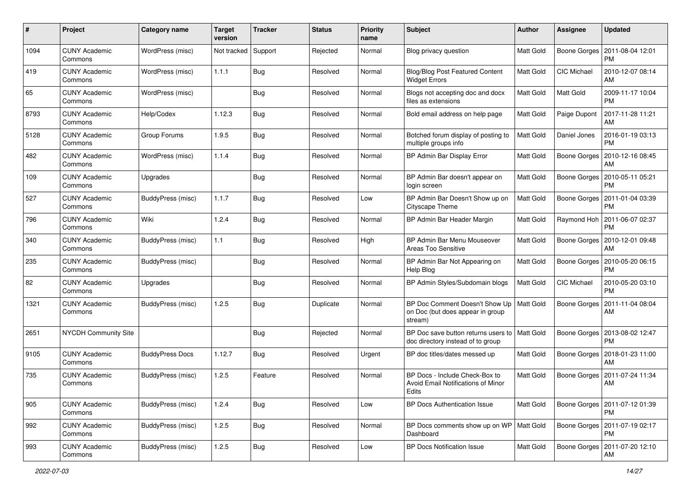| #    | Project                         | Category name            | <b>Target</b><br>version | <b>Tracker</b> | <b>Status</b> | <b>Priority</b><br>name | Subject                                                                       | Author           | <b>Assignee</b>    | <b>Updated</b>                               |
|------|---------------------------------|--------------------------|--------------------------|----------------|---------------|-------------------------|-------------------------------------------------------------------------------|------------------|--------------------|----------------------------------------------|
| 1094 | <b>CUNY Academic</b><br>Commons | WordPress (misc)         | Not tracked              | Support        | Rejected      | Normal                  | Blog privacy question                                                         | Matt Gold        | Boone Gorges       | 2011-08-04 12:01<br>PM                       |
| 419  | <b>CUNY Academic</b><br>Commons | WordPress (misc)         | 1.1.1                    | Bug            | Resolved      | Normal                  | <b>Blog/Blog Post Featured Content</b><br><b>Widget Errors</b>                | Matt Gold        | CIC Michael        | 2010-12-07 08:14<br>AM                       |
| 65   | CUNY Academic<br>Commons        | WordPress (misc)         |                          | <b>Bug</b>     | Resolved      | Normal                  | Blogs not accepting doc and docx<br>files as extensions                       | Matt Gold        | Matt Gold          | 2009-11-17 10:04<br><b>PM</b>                |
| 8793 | <b>CUNY Academic</b><br>Commons | Help/Codex               | 1.12.3                   | Bug            | Resolved      | Normal                  | Bold email address on help page                                               | Matt Gold        | Paige Dupont       | 2017-11-28 11:21<br>AM                       |
| 5128 | <b>CUNY Academic</b><br>Commons | Group Forums             | 1.9.5                    | Bug            | Resolved      | Normal                  | Botched forum display of posting to<br>multiple groups info                   | <b>Matt Gold</b> | Daniel Jones       | 2016-01-19 03:13<br><b>PM</b>                |
| 482  | <b>CUNY Academic</b><br>Commons | WordPress (misc)         | 1.1.4                    | Bug            | Resolved      | Normal                  | BP Admin Bar Display Error                                                    | Matt Gold        | Boone Gorges       | 2010-12-16 08:45<br>AM                       |
| 109  | <b>CUNY Academic</b><br>Commons | Upgrades                 |                          | Bug            | Resolved      | Normal                  | BP Admin Bar doesn't appear on<br>login screen                                | Matt Gold        | Boone Gorges       | 2010-05-11 05:21<br>PM                       |
| 527  | <b>CUNY Academic</b><br>Commons | <b>BuddyPress (misc)</b> | 1.1.7                    | <b>Bug</b>     | Resolved      | Low                     | BP Admin Bar Doesn't Show up on<br>Cityscape Theme                            | Matt Gold        | Boone Gorges       | 2011-01-04 03:39<br>PM                       |
| 796  | <b>CUNY Academic</b><br>Commons | Wiki                     | 1.2.4                    | Bug            | Resolved      | Normal                  | BP Admin Bar Header Margin                                                    | Matt Gold        |                    | Raymond Hoh   2011-06-07 02:37<br><b>PM</b>  |
| 340  | <b>CUNY Academic</b><br>Commons | BuddyPress (misc)        | 1.1                      | <b>Bug</b>     | Resolved      | High                    | BP Admin Bar Menu Mouseover<br>Areas Too Sensitive                            | <b>Matt Gold</b> | Boone Gorges       | 2010-12-01 09:48<br>AM                       |
| 235  | <b>CUNY Academic</b><br>Commons | BuddyPress (misc)        |                          | Bug            | Resolved      | Normal                  | BP Admin Bar Not Appearing on<br>Help Blog                                    | <b>Matt Gold</b> | Boone Gorges       | 2010-05-20 06:15<br><b>PM</b>                |
| 82   | <b>CUNY Academic</b><br>Commons | Upgrades                 |                          | <b>Bug</b>     | Resolved      | Normal                  | BP Admin Styles/Subdomain blogs                                               | <b>Matt Gold</b> | <b>CIC Michael</b> | 2010-05-20 03:10<br><b>PM</b>                |
| 1321 | <b>CUNY Academic</b><br>Commons | BuddyPress (misc)        | 1.2.5                    | Bug            | Duplicate     | Normal                  | BP Doc Comment Doesn't Show Up<br>on Doc (but does appear in group<br>stream) | Matt Gold        | Boone Gorges       | 2011-11-04 08:04<br>AM                       |
| 2651 | NYCDH Community Site            |                          |                          | Bug            | Rejected      | Normal                  | BP Doc save button returns users to<br>doc directory instead of to group      | <b>Matt Gold</b> | Boone Gorges       | 2013-08-02 12:47<br><b>PM</b>                |
| 9105 | <b>CUNY Academic</b><br>Commons | <b>BuddyPress Docs</b>   | 1.12.7                   | Bug            | Resolved      | Urgent                  | BP doc titles/dates messed up                                                 | <b>Matt Gold</b> | Boone Gorges       | 2018-01-23 11:00<br>AM                       |
| 735  | <b>CUNY Academic</b><br>Commons | BuddyPress (misc)        | 1.2.5                    | Feature        | Resolved      | Normal                  | BP Docs - Include Check-Box to<br>Avoid Email Notifications of Minor<br>Edits | <b>Matt Gold</b> | Boone Gorges       | 2011-07-24 11:34<br>AM                       |
| 905  | <b>CUNY Academic</b><br>Commons | BuddyPress (misc)        | 1.2.4                    | <b>Bug</b>     | Resolved      | Low                     | BP Docs Authentication Issue                                                  | Matt Gold        |                    | Boone Gorges   2011-07-12 01:39<br><b>PM</b> |
| 992  | <b>CUNY Academic</b><br>Commons | BuddyPress (misc)        | 1.2.5                    | Bug            | Resolved      | Normal                  | BP Docs comments show up on WP   Matt Gold<br>Dashboard                       |                  |                    | Boone Gorges   2011-07-19 02:17<br><b>PM</b> |
| 993  | <b>CUNY Academic</b><br>Commons | BuddyPress (misc)        | 1.2.5                    | <b>Bug</b>     | Resolved      | Low                     | <b>BP Docs Notification Issue</b>                                             | Matt Gold        |                    | Boone Gorges   2011-07-20 12:10<br>AM        |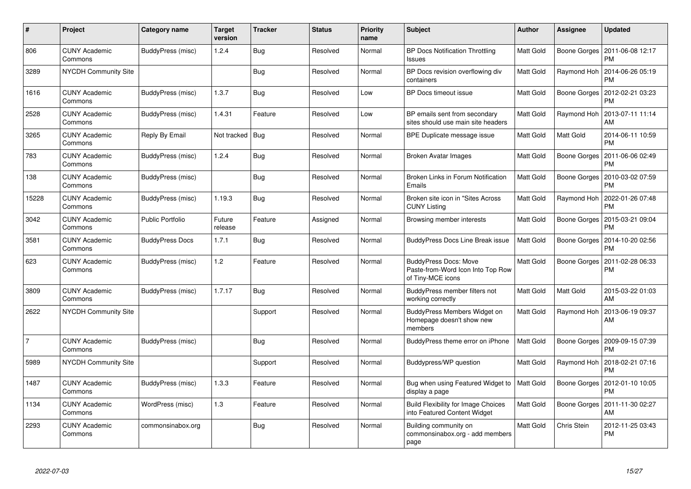| $\#$           | Project                         | Category name           | <b>Target</b><br>version | <b>Tracker</b> | <b>Status</b> | <b>Priority</b><br>name | <b>Subject</b>                                                                         | Author    | Assignee     | <b>Updated</b>                        |
|----------------|---------------------------------|-------------------------|--------------------------|----------------|---------------|-------------------------|----------------------------------------------------------------------------------------|-----------|--------------|---------------------------------------|
| 806            | <b>CUNY Academic</b><br>Commons | BuddyPress (misc)       | 1.2.4                    | Bug            | Resolved      | Normal                  | <b>BP Docs Notification Throttling</b><br>Issues                                       | Matt Gold | Boone Gorges | 2011-06-08 12:17<br><b>PM</b>         |
| 3289           | <b>NYCDH Community Site</b>     |                         |                          | <b>Bug</b>     | Resolved      | Normal                  | BP Docs revision overflowing div<br>containers                                         | Matt Gold | Raymond Hoh  | 2014-06-26 05:19<br><b>PM</b>         |
| 1616           | CUNY Academic<br>Commons        | BuddyPress (misc)       | 1.3.7                    | <b>Bug</b>     | Resolved      | Low                     | <b>BP Docs timeout issue</b>                                                           | Matt Gold | Boone Gorges | 2012-02-21 03:23<br><b>PM</b>         |
| 2528           | <b>CUNY Academic</b><br>Commons | BuddyPress (misc)       | 1.4.31                   | Feature        | Resolved      | Low                     | BP emails sent from secondary<br>sites should use main site headers                    | Matt Gold | Raymond Hoh  | 2013-07-11 11:14<br>AM                |
| 3265           | <b>CUNY Academic</b><br>Commons | Reply By Email          | Not tracked              | <b>Bug</b>     | Resolved      | Normal                  | BPE Duplicate message issue                                                            | Matt Gold | Matt Gold    | 2014-06-11 10:59<br><b>PM</b>         |
| 783            | <b>CUNY Academic</b><br>Commons | BuddyPress (misc)       | 1.2.4                    | Bug            | Resolved      | Normal                  | <b>Broken Avatar Images</b>                                                            | Matt Gold | Boone Gorges | 2011-06-06 02:49<br><b>PM</b>         |
| 138            | <b>CUNY Academic</b><br>Commons | BuddyPress (misc)       |                          | Bug            | Resolved      | Normal                  | Broken Links in Forum Notification<br>Emails                                           | Matt Gold | Boone Gorges | 2010-03-02 07:59<br><b>PM</b>         |
| 15228          | <b>CUNY Academic</b><br>Commons | BuddyPress (misc)       | 1.19.3                   | Bug            | Resolved      | Normal                  | Broken site icon in "Sites Across<br><b>CUNY Listing</b>                               | Matt Gold | Raymond Hoh  | 2022-01-26 07:48<br><b>PM</b>         |
| 3042           | <b>CUNY Academic</b><br>Commons | <b>Public Portfolio</b> | Future<br>release        | Feature        | Assigned      | Normal                  | Browsing member interests                                                              | Matt Gold | Boone Gorges | 2015-03-21 09:04<br><b>PM</b>         |
| 3581           | <b>CUNY Academic</b><br>Commons | <b>BuddyPress Docs</b>  | 1.7.1                    | Bug            | Resolved      | Normal                  | <b>BuddyPress Docs Line Break issue</b>                                                | Matt Gold | Boone Gorges | 2014-10-20 02:56<br><b>PM</b>         |
| 623            | <b>CUNY Academic</b><br>Commons | BuddyPress (misc)       | 1.2                      | Feature        | Resolved      | Normal                  | <b>BuddyPress Docs: Move</b><br>Paste-from-Word Icon Into Top Row<br>of Tiny-MCE icons | Matt Gold | Boone Gorges | 2011-02-28 06:33<br>PM                |
| 3809           | <b>CUNY Academic</b><br>Commons | BuddyPress (misc)       | 1.7.17                   | Bug            | Resolved      | Normal                  | BuddyPress member filters not<br>working correctly                                     | Matt Gold | Matt Gold    | 2015-03-22 01:03<br>AM                |
| 2622           | NYCDH Community Site            |                         |                          | Support        | Resolved      | Normal                  | BuddyPress Members Widget on<br>Homepage doesn't show new<br>members                   | Matt Gold | Raymond Hoh  | 2013-06-19 09:37<br>AM                |
| $\overline{7}$ | <b>CUNY Academic</b><br>Commons | BuddyPress (misc)       |                          | <b>Bug</b>     | Resolved      | Normal                  | BuddyPress theme error on iPhone                                                       | Matt Gold | Boone Gorges | 2009-09-15 07:39<br><b>PM</b>         |
| 5989           | NYCDH Community Site            |                         |                          | Support        | Resolved      | Normal                  | Buddypress/WP question                                                                 | Matt Gold | Raymond Hoh  | 2018-02-21 07:16<br><b>PM</b>         |
| 1487           | <b>CUNY Academic</b><br>Commons | BuddyPress (misc)       | 1.3.3                    | Feature        | Resolved      | Normal                  | Bug when using Featured Widget to<br>display a page                                    | Matt Gold | Boone Gorges | 2012-01-10 10:05<br><b>PM</b>         |
| 1134           | <b>CUNY Academic</b><br>Commons | WordPress (misc)        | 1.3                      | Feature        | Resolved      | Normal                  | <b>Build Flexibility for Image Choices</b><br>into Featured Content Widget             | Matt Gold |              | Boone Gorges   2011-11-30 02:27<br>AM |
| 2293           | <b>CUNY Academic</b><br>Commons | commonsinabox.org       |                          | Bug            | Resolved      | Normal                  | Building community on<br>commonsinabox.org - add members<br>page                       | Matt Gold | Chris Stein  | 2012-11-25 03:43<br><b>PM</b>         |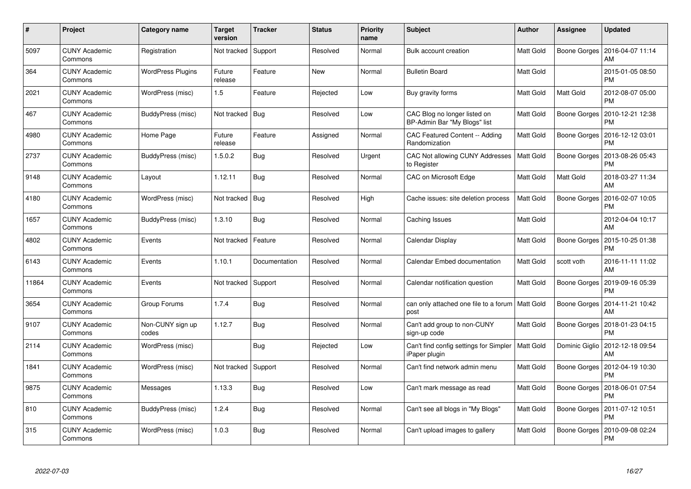| #     | Project                         | <b>Category name</b>      | <b>Target</b><br>version | <b>Tracker</b> | <b>Status</b> | <b>Priority</b><br>name | <b>Subject</b>                                                      | <b>Author</b>    | Assignee       | <b>Updated</b>                |
|-------|---------------------------------|---------------------------|--------------------------|----------------|---------------|-------------------------|---------------------------------------------------------------------|------------------|----------------|-------------------------------|
| 5097  | <b>CUNY Academic</b><br>Commons | Registration              | Not tracked              | Support        | Resolved      | Normal                  | Bulk account creation                                               | Matt Gold        | Boone Gorges   | 2016-04-07 11:14<br>AM        |
| 364   | <b>CUNY Academic</b><br>Commons | <b>WordPress Plugins</b>  | Future<br>release        | Feature        | <b>New</b>    | Normal                  | <b>Bulletin Board</b>                                               | Matt Gold        |                | 2015-01-05 08:50<br>PM        |
| 2021  | <b>CUNY Academic</b><br>Commons | WordPress (misc)          | 1.5                      | Feature        | Rejected      | Low                     | Buy gravity forms                                                   | <b>Matt Gold</b> | Matt Gold      | 2012-08-07 05:00<br>PM        |
| 467   | <b>CUNY Academic</b><br>Commons | BuddyPress (misc)         | Not tracked              | <b>Bug</b>     | Resolved      | Low                     | CAC Blog no longer listed on<br>BP-Admin Bar "My Blogs" list        | Matt Gold        | Boone Gorges   | 2010-12-21 12:38<br>PM        |
| 4980  | <b>CUNY Academic</b><br>Commons | Home Page                 | Future<br>release        | Feature        | Assigned      | Normal                  | CAC Featured Content -- Adding<br>Randomization                     | Matt Gold        | Boone Gorges   | 2016-12-12 03:01<br>PM        |
| 2737  | <b>CUNY Academic</b><br>Commons | BuddyPress (misc)         | 1.5.0.2                  | Bug            | Resolved      | Urgent                  | CAC Not allowing CUNY Addresses<br>to Register                      | Matt Gold        | Boone Gorges   | 2013-08-26 05:43<br>PM        |
| 9148  | <b>CUNY Academic</b><br>Commons | Layout                    | 1.12.11                  | Bug            | Resolved      | Normal                  | CAC on Microsoft Edge                                               | Matt Gold        | Matt Gold      | 2018-03-27 11:34<br>AM        |
| 4180  | <b>CUNY Academic</b><br>Commons | WordPress (misc)          | Not tracked              | Bug            | Resolved      | High                    | Cache issues: site deletion process                                 | Matt Gold        | Boone Gorges   | 2016-02-07 10:05<br>PM        |
| 1657  | <b>CUNY Academic</b><br>Commons | BuddyPress (misc)         | 1.3.10                   | Bug            | Resolved      | Normal                  | Caching Issues                                                      | Matt Gold        |                | 2012-04-04 10:17<br>AM        |
| 4802  | <b>CUNY Academic</b><br>Commons | Events                    | Not tracked              | Feature        | Resolved      | Normal                  | Calendar Display                                                    | Matt Gold        | Boone Gorges   | 2015-10-25 01:38<br>РM        |
| 6143  | <b>CUNY Academic</b><br>Commons | Events                    | 1.10.1                   | Documentation  | Resolved      | Normal                  | Calendar Embed documentation                                        | Matt Gold        | scott voth     | 2016-11-11 11:02<br>AM        |
| 11864 | <b>CUNY Academic</b><br>Commons | Events                    | Not tracked              | Support        | Resolved      | Normal                  | Calendar notification question                                      | Matt Gold        | Boone Gorges   | 2019-09-16 05:39<br>PM        |
| 3654  | <b>CUNY Academic</b><br>Commons | Group Forums              | 1.7.4                    | Bug            | Resolved      | Normal                  | can only attached one file to a forum   Matt Gold<br>post           |                  | Boone Gorges   | 2014-11-21 10:42<br>AM        |
| 9107  | <b>CUNY Academic</b><br>Commons | Non-CUNY sign up<br>codes | 1.12.7                   | Bug            | Resolved      | Normal                  | Can't add group to non-CUNY<br>sign-up code                         | Matt Gold        | Boone Gorges   | 2018-01-23 04:15<br>РM        |
| 2114  | <b>CUNY Academic</b><br>Commons | WordPress (misc)          |                          | Bug            | Rejected      | Low                     | Can't find config settings for Simpler   Matt Gold<br>iPaper plugin |                  | Dominic Giglio | 2012-12-18 09:54<br>AM        |
| 1841  | <b>CUNY Academic</b><br>Commons | WordPress (misc)          | Not tracked              | Support        | Resolved      | Normal                  | Can't find network admin menu                                       | Matt Gold        | Boone Gorges   | 2012-04-19 10:30<br>PM        |
| 9875  | <b>CUNY Academic</b><br>Commons | Messages                  | 1.13.3                   | Bug            | Resolved      | Low                     | Can't mark message as read                                          | Matt Gold        | Boone Gorges   | 2018-06-01 07:54<br><b>PM</b> |
| 810   | <b>CUNY Academic</b><br>Commons | BuddyPress (misc)         | 1.2.4                    | Bug            | Resolved      | Normal                  | Can't see all blogs in "My Blogs"                                   | Matt Gold        | Boone Gorges   | 2011-07-12 10:51<br>PM        |
| 315   | CUNY Academic<br>Commons        | WordPress (misc)          | 1.0.3                    | <b>Bug</b>     | Resolved      | Normal                  | Can't upload images to gallery                                      | Matt Gold        | Boone Gorges   | 2010-09-08 02:24<br>PM        |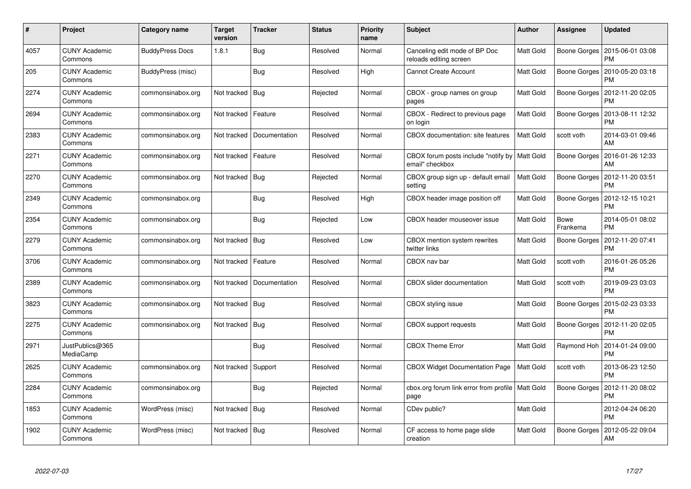| #    | Project                         | <b>Category name</b>   | <b>Target</b><br>version | <b>Tracker</b> | <b>Status</b> | <b>Priority</b><br>name | <b>Subject</b>                                                     | <b>Author</b> | Assignee                | <b>Updated</b>                |
|------|---------------------------------|------------------------|--------------------------|----------------|---------------|-------------------------|--------------------------------------------------------------------|---------------|-------------------------|-------------------------------|
| 4057 | <b>CUNY Academic</b><br>Commons | <b>BuddyPress Docs</b> | 1.8.1                    | Bug            | Resolved      | Normal                  | Canceling edit mode of BP Doc<br>reloads editing screen            | Matt Gold     | Boone Gorges            | 2015-06-01 03:08<br>PM        |
| 205  | <b>CUNY Academic</b><br>Commons | BuddyPress (misc)      |                          | <b>Bug</b>     | Resolved      | High                    | <b>Cannot Create Account</b>                                       | Matt Gold     | Boone Gorges            | 2010-05-20 03:18<br>PM        |
| 2274 | <b>CUNY Academic</b><br>Commons | commonsinabox.org      | Not tracked              | Bug            | Rejected      | Normal                  | CBOX - group names on group<br>pages                               | Matt Gold     | Boone Gorges            | 2012-11-20 02:05<br>PM        |
| 2694 | <b>CUNY Academic</b><br>Commons | commonsinabox.org      | Not tracked              | Feature        | Resolved      | Normal                  | CBOX - Redirect to previous page<br>on login                       | Matt Gold     | Boone Gorges            | 2013-08-11 12:32<br>PM        |
| 2383 | <b>CUNY Academic</b><br>Commons | commonsinabox.org      | Not tracked              | Documentation  | Resolved      | Normal                  | CBOX documentation: site features                                  | Matt Gold     | scott voth              | 2014-03-01 09:46<br>AM        |
| 2271 | <b>CUNY Academic</b><br>Commons | commonsinabox.org      | Not tracked              | Feature        | Resolved      | Normal                  | CBOX forum posts include "notify by   Matt Gold<br>email" checkbox |               | Boone Gorges            | 2016-01-26 12:33<br>AM        |
| 2270 | <b>CUNY Academic</b><br>Commons | commonsinabox.org      | Not tracked              | Bug            | Rejected      | Normal                  | CBOX group sign up - default email<br>setting                      | Matt Gold     | Boone Gorges            | 2012-11-20 03:51<br>PM        |
| 2349 | <b>CUNY Academic</b><br>Commons | commonsinabox.org      |                          | <b>Bug</b>     | Resolved      | High                    | CBOX header image position off                                     | Matt Gold     | Boone Gorges            | 2012-12-15 10:21<br>PM        |
| 2354 | <b>CUNY Academic</b><br>Commons | commonsinabox.org      |                          | Bug            | Rejected      | Low                     | CBOX header mouseover issue                                        | Matt Gold     | <b>Bowe</b><br>Frankema | 2014-05-01 08:02<br>PM        |
| 2279 | <b>CUNY Academic</b><br>Commons | commonsinabox.org      | Not tracked              | Bug            | Resolved      | Low                     | CBOX mention system rewrites<br>twitter links                      | Matt Gold     | Boone Gorges            | 2012-11-20 07:41<br>РM        |
| 3706 | <b>CUNY Academic</b><br>Commons | commonsinabox.org      | Not tracked              | Feature        | Resolved      | Normal                  | CBOX nav bar                                                       | Matt Gold     | scott voth              | 2016-01-26 05:26<br>PM        |
| 2389 | <b>CUNY Academic</b><br>Commons | commonsinabox.org      | Not tracked              | Documentation  | Resolved      | Normal                  | CBOX slider documentation                                          | Matt Gold     | scott voth              | 2019-09-23 03:03<br><b>PM</b> |
| 3823 | <b>CUNY Academic</b><br>Commons | commonsinabox.org      | Not tracked              | Bug            | Resolved      | Normal                  | CBOX styling issue                                                 | Matt Gold     | Boone Gorges            | 2015-02-23 03:33<br><b>PM</b> |
| 2275 | <b>CUNY Academic</b><br>Commons | commonsinabox.org      | Not tracked              | Bug            | Resolved      | Normal                  | <b>CBOX</b> support requests                                       | Matt Gold     | Boone Gorges            | 2012-11-20 02:05<br>РM        |
| 2971 | JustPublics@365<br>MediaCamp    |                        |                          | <b>Bug</b>     | Resolved      | Normal                  | <b>CBOX Theme Error</b>                                            | Matt Gold     | Raymond Hoh             | 2014-01-24 09:00<br>PM        |
| 2625 | <b>CUNY Academic</b><br>Commons | commonsinabox.org      | Not tracked              | Support        | Resolved      | Normal                  | <b>CBOX Widget Documentation Page</b>                              | Matt Gold     | scott voth              | 2013-06-23 12:50<br>PM        |
| 2284 | <b>CUNY Academic</b><br>Commons | commonsinabox.org      |                          | Bug            | Rejected      | Normal                  | cbox.org forum link error from profile   Matt Gold<br>page         |               | Boone Gorges            | 2012-11-20 08:02<br>РM        |
| 1853 | <b>CUNY Academic</b><br>Commons | WordPress (misc)       | Not tracked              | Bug            | Resolved      | Normal                  | CDev public?                                                       | Matt Gold     |                         | 2012-04-24 06:20<br><b>PM</b> |
| 1902 | CUNY Academic<br>Commons        | WordPress (misc)       | Not tracked   Bug        |                | Resolved      | Normal                  | CF access to home page slide<br>creation                           | Matt Gold     | Boone Gorges            | 2012-05-22 09:04<br>AM        |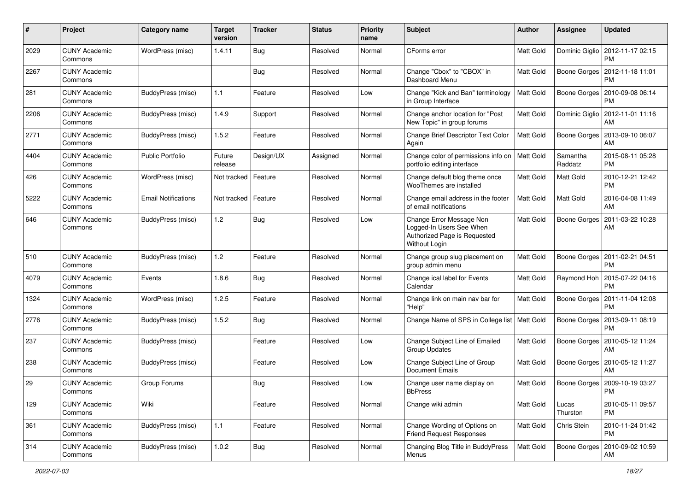| #    | Project                         | Category name              | <b>Target</b><br>version | <b>Tracker</b> | <b>Status</b> | <b>Priority</b><br>name | <b>Subject</b>                                                                                        | Author           | <b>Assignee</b>     | <b>Updated</b>                               |
|------|---------------------------------|----------------------------|--------------------------|----------------|---------------|-------------------------|-------------------------------------------------------------------------------------------------------|------------------|---------------------|----------------------------------------------|
| 2029 | <b>CUNY Academic</b><br>Commons | WordPress (misc)           | 1.4.11                   | Bug            | Resolved      | Normal                  | CForms error                                                                                          | Matt Gold        | Dominic Giglio      | 2012-11-17 02:15<br><b>PM</b>                |
| 2267 | <b>CUNY Academic</b><br>Commons |                            |                          | Bug            | Resolved      | Normal                  | Change "Cbox" to "CBOX" in<br>Dashboard Menu                                                          | Matt Gold        |                     | Boone Gorges   2012-11-18 11:01<br><b>PM</b> |
| 281  | <b>CUNY Academic</b><br>Commons | BuddyPress (misc)          | $1.1$                    | Feature        | Resolved      | Low                     | Change "Kick and Ban" terminology<br>in Group Interface                                               | Matt Gold        | Boone Gorges        | 2010-09-08 06:14<br><b>PM</b>                |
| 2206 | <b>CUNY Academic</b><br>Commons | BuddyPress (misc)          | 1.4.9                    | Support        | Resolved      | Normal                  | Change anchor location for "Post<br>New Topic" in group forums                                        | Matt Gold        | Dominic Giglio      | 2012-11-01 11:16<br>AM                       |
| 2771 | <b>CUNY Academic</b><br>Commons | BuddyPress (misc)          | 1.5.2                    | Feature        | Resolved      | Normal                  | Change Brief Descriptor Text Color<br>Again                                                           | Matt Gold        | Boone Gorges        | 2013-09-10 06:07<br>AM                       |
| 4404 | <b>CUNY Academic</b><br>Commons | <b>Public Portfolio</b>    | Future<br>release        | Design/UX      | Assigned      | Normal                  | Change color of permissions info on<br>portfolio editing interface                                    | <b>Matt Gold</b> | Samantha<br>Raddatz | 2015-08-11 05:28<br><b>PM</b>                |
| 426  | <b>CUNY Academic</b><br>Commons | WordPress (misc)           | Not tracked              | Feature        | Resolved      | Normal                  | Change default blog theme once<br>WooThemes are installed                                             | Matt Gold        | Matt Gold           | 2010-12-21 12:42<br><b>PM</b>                |
| 5222 | <b>CUNY Academic</b><br>Commons | <b>Email Notifications</b> | Not tracked              | Feature        | Resolved      | Normal                  | Change email address in the footer<br>of email notifications                                          | <b>Matt Gold</b> | Matt Gold           | 2016-04-08 11:49<br>AM                       |
| 646  | <b>CUNY Academic</b><br>Commons | BuddyPress (misc)          | 1.2                      | Bug            | Resolved      | Low                     | Change Error Message Non<br>Logged-In Users See When<br>Authorized Page is Requested<br>Without Login | Matt Gold        | Boone Gorges        | 2011-03-22 10:28<br>AM                       |
| 510  | <b>CUNY Academic</b><br>Commons | BuddyPress (misc)          | 1.2                      | Feature        | Resolved      | Normal                  | Change group slug placement on<br>group admin menu                                                    | Matt Gold        | Boone Gorges        | 2011-02-21 04:51<br><b>PM</b>                |
| 4079 | <b>CUNY Academic</b><br>Commons | Events                     | 1.8.6                    | Bug            | Resolved      | Normal                  | Change ical label for Events<br>Calendar                                                              | <b>Matt Gold</b> |                     | Raymond Hoh   2015-07-22 04:16<br><b>PM</b>  |
| 1324 | <b>CUNY Academic</b><br>Commons | WordPress (misc)           | 1.2.5                    | Feature        | Resolved      | Normal                  | Change link on main nav bar for<br>"Help"                                                             | Matt Gold        | Boone Gorges        | 2011-11-04 12:08<br>PM                       |
| 2776 | <b>CUNY Academic</b><br>Commons | BuddyPress (misc)          | 1.5.2                    | Bug            | Resolved      | Normal                  | Change Name of SPS in College list   Matt Gold                                                        |                  | Boone Gorges        | 2013-09-11 08:19<br><b>PM</b>                |
| 237  | <b>CUNY Academic</b><br>Commons | BuddyPress (misc)          |                          | Feature        | Resolved      | Low                     | Change Subject Line of Emailed<br><b>Group Updates</b>                                                | <b>Matt Gold</b> | Boone Gorges        | 2010-05-12 11:24<br>AM                       |
| 238  | <b>CUNY Academic</b><br>Commons | BuddyPress (misc)          |                          | Feature        | Resolved      | Low                     | Change Subject Line of Group<br><b>Document Emails</b>                                                | Matt Gold        | Boone Gorges        | 2010-05-12 11:27<br>AM                       |
| 29   | <b>CUNY Academic</b><br>Commons | Group Forums               |                          | Bug            | Resolved      | Low                     | Change user name display on<br><b>BbPress</b>                                                         | Matt Gold        | Boone Gorges        | 2009-10-19 03:27<br>PM                       |
| 129  | <b>CUNY Academic</b><br>Commons | Wiki                       |                          | Feature        | Resolved      | Normal                  | Change wiki admin                                                                                     | Matt Gold        | Lucas<br>Thurston   | 2010-05-11 09:57<br>PM                       |
| 361  | <b>CUNY Academic</b><br>Commons | BuddyPress (misc)          | $1.1$                    | Feature        | Resolved      | Normal                  | Change Wording of Options on<br><b>Friend Request Responses</b>                                       | Matt Gold        | Chris Stein         | 2010-11-24 01:42<br><b>PM</b>                |
| 314  | <b>CUNY Academic</b><br>Commons | BuddyPress (misc)          | 1.0.2                    | Bug            | Resolved      | Normal                  | Changing Blog Title in BuddyPress<br>Menus                                                            | Matt Gold        | Boone Gorges        | 2010-09-02 10:59<br>AM                       |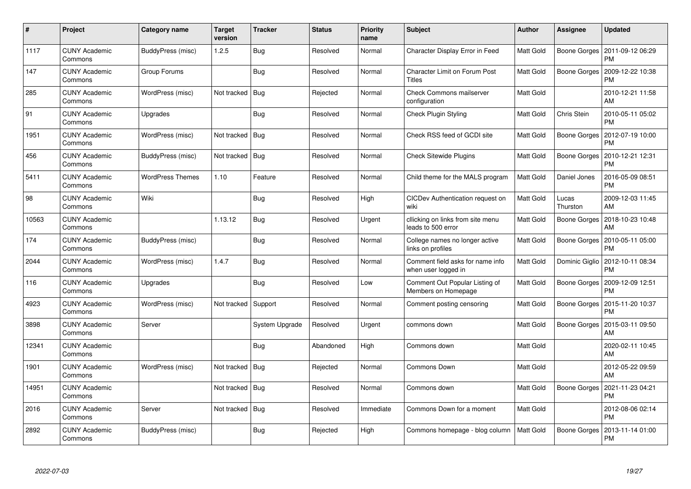| #     | Project                         | Category name           | <b>Target</b><br>version | Tracker        | <b>Status</b> | <b>Priority</b><br>name | <b>Subject</b>                                          | <b>Author</b> | Assignee          | <b>Updated</b>                |
|-------|---------------------------------|-------------------------|--------------------------|----------------|---------------|-------------------------|---------------------------------------------------------|---------------|-------------------|-------------------------------|
| 1117  | <b>CUNY Academic</b><br>Commons | BuddyPress (misc)       | 1.2.5                    | Bug            | Resolved      | Normal                  | Character Display Error in Feed                         | Matt Gold     | Boone Gorges      | 2011-09-12 06:29<br><b>PM</b> |
| 147   | <b>CUNY Academic</b><br>Commons | Group Forums            |                          | Bug            | Resolved      | Normal                  | <b>Character Limit on Forum Post</b><br>Titles          | Matt Gold     | Boone Gorges      | 2009-12-22 10:38<br><b>PM</b> |
| 285   | <b>CUNY Academic</b><br>Commons | WordPress (misc)        | Not tracked              | Bug            | Rejected      | Normal                  | <b>Check Commons mailserver</b><br>configuration        | Matt Gold     |                   | 2010-12-21 11:58<br>AM        |
| 91    | <b>CUNY Academic</b><br>Commons | Upgrades                |                          | Bug            | Resolved      | Normal                  | Check Plugin Styling                                    | Matt Gold     | Chris Stein       | 2010-05-11 05:02<br><b>PM</b> |
| 1951  | <b>CUNY Academic</b><br>Commons | WordPress (misc)        | Not tracked   Bug        |                | Resolved      | Normal                  | Check RSS feed of GCDI site                             | Matt Gold     | Boone Gorges      | 2012-07-19 10:00<br><b>PM</b> |
| 456   | <b>CUNY Academic</b><br>Commons | BuddyPress (misc)       | Not tracked              | Bug            | Resolved      | Normal                  | <b>Check Sitewide Plugins</b>                           | Matt Gold     | Boone Gorges      | 2010-12-21 12:31<br><b>PM</b> |
| 5411  | <b>CUNY Academic</b><br>Commons | <b>WordPress Themes</b> | 1.10                     | Feature        | Resolved      | Normal                  | Child theme for the MALS program                        | Matt Gold     | Daniel Jones      | 2016-05-09 08:51<br><b>PM</b> |
| 98    | <b>CUNY Academic</b><br>Commons | Wiki                    |                          | Bug            | Resolved      | High                    | CICDev Authentication request on<br>wiki                | Matt Gold     | Lucas<br>Thurston | 2009-12-03 11:45<br>AM        |
| 10563 | <b>CUNY Academic</b><br>Commons |                         | 1.13.12                  | Bug            | Resolved      | Urgent                  | cllicking on links from site menu<br>leads to 500 error | Matt Gold     | Boone Gorges      | 2018-10-23 10:48<br>AM        |
| 174   | <b>CUNY Academic</b><br>Commons | BuddyPress (misc)       |                          | Bug            | Resolved      | Normal                  | College names no longer active<br>links on profiles     | Matt Gold     | Boone Gorges      | 2010-05-11 05:00<br>PM        |
| 2044  | <b>CUNY Academic</b><br>Commons | WordPress (misc)        | 1.4.7                    | Bug            | Resolved      | Normal                  | Comment field asks for name info<br>when user logged in | Matt Gold     | Dominic Giglio    | 2012-10-11 08:34<br><b>PM</b> |
| 116   | <b>CUNY Academic</b><br>Commons | Upgrades                |                          | Bug            | Resolved      | Low                     | Comment Out Popular Listing of<br>Members on Homepage   | Matt Gold     | Boone Gorges      | 2009-12-09 12:51<br>PM        |
| 4923  | <b>CUNY Academic</b><br>Commons | WordPress (misc)        | Not tracked              | Support        | Resolved      | Normal                  | Comment posting censoring                               | Matt Gold     | Boone Gorges      | 2015-11-20 10:37<br><b>PM</b> |
| 3898  | <b>CUNY Academic</b><br>Commons | Server                  |                          | System Upgrade | Resolved      | Urgent                  | commons down                                            | Matt Gold     | Boone Gorges      | 2015-03-11 09:50<br>AM        |
| 12341 | <b>CUNY Academic</b><br>Commons |                         |                          | Bug            | Abandoned     | High                    | Commons down                                            | Matt Gold     |                   | 2020-02-11 10:45<br>AM        |
| 1901  | <b>CUNY Academic</b><br>Commons | WordPress (misc)        | Not tracked   Bug        |                | Rejected      | Normal                  | <b>Commons Down</b>                                     | Matt Gold     |                   | 2012-05-22 09:59<br>AM        |
| 14951 | <b>CUNY Academic</b><br>Commons |                         | Not tracked              | Bug            | Resolved      | Normal                  | Commons down                                            | Matt Gold     | Boone Gorges      | 2021-11-23 04:21<br><b>PM</b> |
| 2016  | <b>CUNY Academic</b><br>Commons | Server                  | Not tracked              | <b>Bug</b>     | Resolved      | Immediate               | Commons Down for a moment                               | Matt Gold     |                   | 2012-08-06 02:14<br><b>PM</b> |
| 2892  | CUNY Academic<br>Commons        | BuddyPress (misc)       |                          | Bug            | Rejected      | High                    | Commons homepage - blog column                          | Matt Gold     | Boone Gorges      | 2013-11-14 01:00<br><b>PM</b> |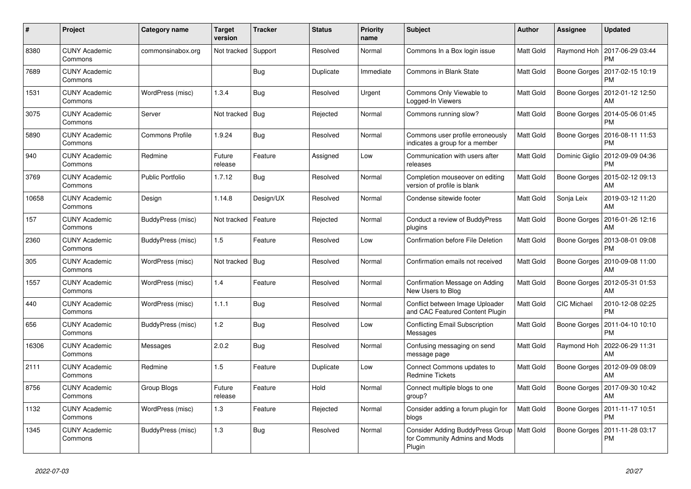| #     | Project                         | Category name           | <b>Target</b><br>version | <b>Tracker</b> | <b>Status</b> | <b>Priority</b><br>name | <b>Subject</b>                                                                          | <b>Author</b>    | Assignee           | <b>Updated</b>                |
|-------|---------------------------------|-------------------------|--------------------------|----------------|---------------|-------------------------|-----------------------------------------------------------------------------------------|------------------|--------------------|-------------------------------|
| 8380  | <b>CUNY Academic</b><br>Commons | commonsinabox.org       | Not tracked              | Support        | Resolved      | Normal                  | Commons In a Box login issue                                                            | Matt Gold        | Raymond Hoh        | 2017-06-29 03:44<br><b>PM</b> |
| 7689  | <b>CUNY Academic</b><br>Commons |                         |                          | Bug            | Duplicate     | Immediate               | Commons in Blank State                                                                  | Matt Gold        | Boone Gorges       | 2017-02-15 10:19<br>PM        |
| 1531  | <b>CUNY Academic</b><br>Commons | WordPress (misc)        | 1.3.4                    | Bug            | Resolved      | Urgent                  | Commons Only Viewable to<br>Logged-In Viewers                                           | Matt Gold        | Boone Gorges       | 2012-01-12 12:50<br>AM        |
| 3075  | <b>CUNY Academic</b><br>Commons | Server                  | Not tracked              | Bug            | Rejected      | Normal                  | Commons running slow?                                                                   | <b>Matt Gold</b> | Boone Gorges       | 2014-05-06 01:45<br><b>PM</b> |
| 5890  | <b>CUNY Academic</b><br>Commons | <b>Commons Profile</b>  | 1.9.24                   | Bug            | Resolved      | Normal                  | Commons user profile erroneously<br>indicates a group for a member                      | Matt Gold        | Boone Gorges       | 2016-08-11 11:53<br>PM        |
| 940   | <b>CUNY Academic</b><br>Commons | Redmine                 | Future<br>release        | Feature        | Assigned      | Low                     | Communication with users after<br>releases                                              | Matt Gold        | Dominic Giglio     | 2012-09-09 04:36<br><b>PM</b> |
| 3769  | <b>CUNY Academic</b><br>Commons | <b>Public Portfolio</b> | 1.7.12                   | Bug            | Resolved      | Normal                  | Completion mouseover on editing<br>version of profile is blank                          | Matt Gold        | Boone Gorges       | 2015-02-12 09:13<br>AM        |
| 10658 | <b>CUNY Academic</b><br>Commons | Design                  | 1.14.8                   | Design/UX      | Resolved      | Normal                  | Condense sitewide footer                                                                | Matt Gold        | Sonja Leix         | 2019-03-12 11:20<br>AM        |
| 157   | <b>CUNY Academic</b><br>Commons | BuddyPress (misc)       | Not tracked              | Feature        | Rejected      | Normal                  | Conduct a review of BuddyPress<br>plugins                                               | Matt Gold        | Boone Gorges       | 2016-01-26 12:16<br>AM        |
| 2360  | <b>CUNY Academic</b><br>Commons | BuddyPress (misc)       | 1.5                      | Feature        | Resolved      | Low                     | <b>Confirmation before File Deletion</b>                                                | Matt Gold        | Boone Gorges       | 2013-08-01 09:08<br>PM        |
| 305   | <b>CUNY Academic</b><br>Commons | WordPress (misc)        | Not tracked              | <b>Bug</b>     | Resolved      | Normal                  | Confirmation emails not received                                                        | Matt Gold        | Boone Gorges       | 2010-09-08 11:00<br>AM        |
| 1557  | <b>CUNY Academic</b><br>Commons | WordPress (misc)        | 1.4                      | Feature        | Resolved      | Normal                  | Confirmation Message on Adding<br>New Users to Blog                                     | Matt Gold        | Boone Gorges       | 2012-05-31 01:53<br>AM        |
| 440   | <b>CUNY Academic</b><br>Commons | WordPress (misc)        | 1.1.1                    | Bug            | Resolved      | Normal                  | Conflict between Image Uploader<br>and CAC Featured Content Plugin                      | Matt Gold        | <b>CIC Michael</b> | 2010-12-08 02:25<br><b>PM</b> |
| 656   | <b>CUNY Academic</b><br>Commons | BuddyPress (misc)       | 1.2                      | Bug            | Resolved      | Low                     | <b>Conflicting Email Subscription</b><br>Messages                                       | Matt Gold        | Boone Gorges       | 2011-04-10 10:10<br><b>PM</b> |
| 16306 | <b>CUNY Academic</b><br>Commons | Messages                | 2.0.2                    | Bug            | Resolved      | Normal                  | Confusing messaging on send<br>message page                                             | Matt Gold        | Raymond Hoh        | 2022-06-29 11:31<br>AM        |
| 2111  | <b>CUNY Academic</b><br>Commons | Redmine                 | 1.5                      | Feature        | Duplicate     | Low                     | Connect Commons updates to<br><b>Redmine Tickets</b>                                    | Matt Gold        | Boone Gorges       | 2012-09-09 08:09<br>AM        |
| 8756  | <b>CUNY Academic</b><br>Commons | Group Blogs             | Future<br>release        | Feature        | Hold          | Normal                  | Connect multiple blogs to one<br>group?                                                 | Matt Gold        | Boone Gorges       | 2017-09-30 10:42<br>AM        |
| 1132  | <b>CUNY Academic</b><br>Commons | WordPress (misc)        | 1.3                      | Feature        | Rejected      | Normal                  | Consider adding a forum plugin for<br>blogs                                             | Matt Gold        | Boone Gorges       | 2011-11-17 10:51<br><b>PM</b> |
| 1345  | <b>CUNY Academic</b><br>Commons | BuddyPress (misc)       | 1.3                      | Bug            | Resolved      | Normal                  | Consider Adding BuddyPress Group   Matt Gold<br>for Community Admins and Mods<br>Plugin |                  | Boone Gorges       | 2011-11-28 03:17<br><b>PM</b> |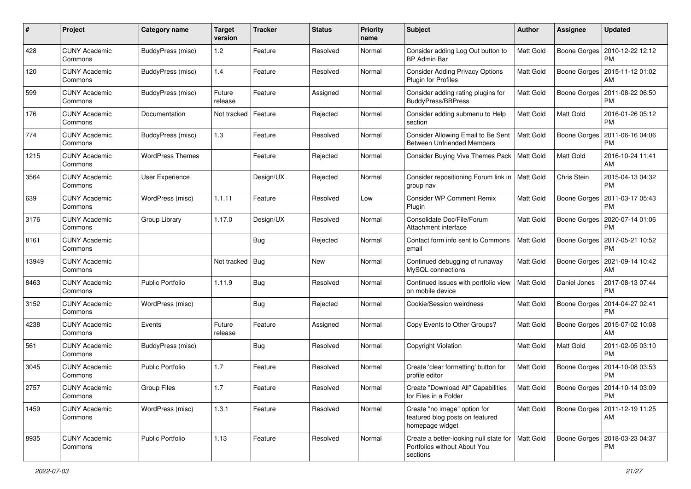| $\#$  | Project                         | <b>Category name</b>     | <b>Target</b><br>version | <b>Tracker</b> | <b>Status</b> | <b>Priority</b><br>name | Subject                                                                            | Author           | <b>Assignee</b> | <b>Updated</b>                               |
|-------|---------------------------------|--------------------------|--------------------------|----------------|---------------|-------------------------|------------------------------------------------------------------------------------|------------------|-----------------|----------------------------------------------|
| 428   | <b>CUNY Academic</b><br>Commons | BuddyPress (misc)        | 1.2                      | Feature        | Resolved      | Normal                  | Consider adding Log Out button to<br><b>BP Admin Bar</b>                           | Matt Gold        | Boone Gorges    | 2010-12-22 12:12<br>PM                       |
| 120   | <b>CUNY Academic</b><br>Commons | <b>BuddyPress (misc)</b> | 1.4                      | Feature        | Resolved      | Normal                  | <b>Consider Adding Privacy Options</b><br>Plugin for Profiles                      | Matt Gold        | Boone Gorges    | 2015-11-12 01:02<br>AM                       |
| 599   | <b>CUNY Academic</b><br>Commons | BuddyPress (misc)        | Future<br>release        | Feature        | Assigned      | Normal                  | Consider adding rating plugins for<br>BuddyPress/BBPress                           | Matt Gold        | Boone Gorges    | 2011-08-22 06:50<br>PM                       |
| 176   | <b>CUNY Academic</b><br>Commons | Documentation            | Not tracked              | Feature        | Rejected      | Normal                  | Consider adding submenu to Help<br>section                                         | Matt Gold        | Matt Gold       | 2016-01-26 05:12<br><b>PM</b>                |
| 774   | <b>CUNY Academic</b><br>Commons | BuddyPress (misc)        | 1.3                      | Feature        | Resolved      | Normal                  | Consider Allowing Email to Be Sent<br><b>Between Unfriended Members</b>            | <b>Matt Gold</b> | Boone Gorges    | 2011-06-16 04:06<br><b>PM</b>                |
| 1215  | <b>CUNY Academic</b><br>Commons | <b>WordPress Themes</b>  |                          | Feature        | Rejected      | Normal                  | Consider Buying Viva Themes Pack                                                   | <b>Matt Gold</b> | Matt Gold       | 2016-10-24 11:41<br>AM                       |
| 3564  | <b>CUNY Academic</b><br>Commons | User Experience          |                          | Design/UX      | Rejected      | Normal                  | Consider repositioning Forum link in   Matt Gold<br>group nav                      |                  | Chris Stein     | 2015-04-13 04:32<br><b>PM</b>                |
| 639   | <b>CUNY Academic</b><br>Commons | WordPress (misc)         | 1.1.11                   | Feature        | Resolved      | Low                     | <b>Consider WP Comment Remix</b><br>Plugin                                         | Matt Gold        | Boone Gorges    | 2011-03-17 05:43<br>PM                       |
| 3176  | <b>CUNY Academic</b><br>Commons | Group Library            | 1.17.0                   | Design/UX      | Resolved      | Normal                  | Consolidate Doc/File/Forum<br>Attachment interface                                 | Matt Gold        | Boone Gorges    | 2020-07-14 01:06<br><b>PM</b>                |
| 8161  | <b>CUNY Academic</b><br>Commons |                          |                          | <b>Bug</b>     | Rejected      | Normal                  | Contact form info sent to Commons<br>email                                         | Matt Gold        | Boone Gorges    | 2017-05-21 10:52<br>PM                       |
| 13949 | <b>CUNY Academic</b><br>Commons |                          | Not tracked              | Bug            | <b>New</b>    | Normal                  | Continued debugging of runaway<br>MySQL connections                                | Matt Gold        | Boone Gorges    | 2021-09-14 10:42<br>AM                       |
| 8463  | <b>CUNY Academic</b><br>Commons | <b>Public Portfolio</b>  | 1.11.9                   | Bug            | Resolved      | Normal                  | Continued issues with portfolio view<br>on mobile device                           | <b>Matt Gold</b> | Daniel Jones    | 2017-08-13 07:44<br><b>PM</b>                |
| 3152  | <b>CUNY Academic</b><br>Commons | WordPress (misc)         |                          | Bug            | Rejected      | Normal                  | Cookie/Session weirdness                                                           | Matt Gold        | Boone Gorges    | 2014-04-27 02:41<br><b>PM</b>                |
| 4238  | <b>CUNY Academic</b><br>Commons | Events                   | Future<br>release        | Feature        | Assigned      | Normal                  | Copy Events to Other Groups?                                                       | Matt Gold        | Boone Gorges    | 2015-07-02 10:08<br>AM                       |
| 561   | <b>CUNY Academic</b><br>Commons | <b>BuddyPress (misc)</b> |                          | Bug            | Resolved      | Normal                  | Copyright Violation                                                                | Matt Gold        | Matt Gold       | 2011-02-05 03:10<br><b>PM</b>                |
| 3045  | <b>CUNY Academic</b><br>Commons | <b>Public Portfolio</b>  | 1.7                      | Feature        | Resolved      | Normal                  | Create 'clear formatting' button for<br>profile editor                             | <b>Matt Gold</b> | Boone Gorges    | 2014-10-08 03:53<br><b>PM</b>                |
| 2757  | <b>CUNY Academic</b><br>Commons | <b>Group Files</b>       | 1.7                      | Feature        | Resolved      | Normal                  | Create "Download All" Capabilities<br>for Files in a Folder                        | <b>Matt Gold</b> |                 | Boone Gorges   2014-10-14 03:09<br><b>PM</b> |
| 1459  | <b>CUNY Academic</b><br>Commons | WordPress (misc)         | 1.3.1                    | Feature        | Resolved      | Normal                  | Create "no image" option for<br>featured blog posts on featured<br>homepage widget | Matt Gold        | Boone Gorges    | 2011-12-19 11:25<br>AM                       |
| 8935  | <b>CUNY Academic</b><br>Commons | Public Portfolio         | 1.13                     | Feature        | Resolved      | Normal                  | Create a better-looking null state for<br>Portfolios without About You<br>sections | <b>Matt Gold</b> | Boone Gorges    | 2018-03-23 04:37<br><b>PM</b>                |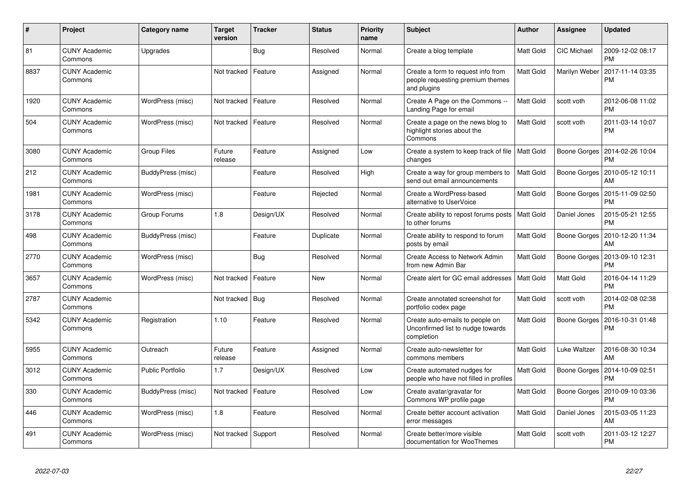| $\pmb{\#}$ | Project                         | <b>Category name</b>    | <b>Target</b><br>version | <b>Tracker</b> | <b>Status</b> | <b>Priority</b><br>name | <b>Subject</b>                                                                        | <b>Author</b>    | Assignee           | <b>Updated</b>                |
|------------|---------------------------------|-------------------------|--------------------------|----------------|---------------|-------------------------|---------------------------------------------------------------------------------------|------------------|--------------------|-------------------------------|
| 81         | <b>CUNY Academic</b><br>Commons | Upgrades                |                          | <b>Bug</b>     | Resolved      | Normal                  | Create a blog template                                                                | Matt Gold        | <b>CIC Michael</b> | 2009-12-02 08:17<br><b>PM</b> |
| 8837       | <b>CUNY Academic</b><br>Commons |                         | Not tracked              | Feature        | Assigned      | Normal                  | Create a form to request info from<br>people requesting premium themes<br>and plugins | Matt Gold        | Marilyn Weber      | 2017-11-14 03:35<br><b>PM</b> |
| 1920       | <b>CUNY Academic</b><br>Commons | WordPress (misc)        | Not tracked              | Feature        | Resolved      | Normal                  | Create A Page on the Commons --<br>Landing Page for email                             | Matt Gold        | scott voth         | 2012-06-08 11:02<br><b>PM</b> |
| 504        | <b>CUNY Academic</b><br>Commons | WordPress (misc)        | Not tracked              | Feature        | Resolved      | Normal                  | Create a page on the news blog to<br>highlight stories about the<br>Commons           | Matt Gold        | scott voth         | 2011-03-14 10:07<br><b>PM</b> |
| 3080       | <b>CUNY Academic</b><br>Commons | <b>Group Files</b>      | Future<br>release        | Feature        | Assigned      | Low                     | Create a system to keep track of file<br>changes                                      | <b>Matt Gold</b> | Boone Gorges       | 2014-02-26 10:04<br><b>PM</b> |
| 212        | <b>CUNY Academic</b><br>Commons | BuddyPress (misc)       |                          | Feature        | Resolved      | High                    | Create a way for group members to<br>send out email announcements                     | Matt Gold        | Boone Gorges       | 2010-05-12 10:11<br>AM        |
| 1981       | <b>CUNY Academic</b><br>Commons | WordPress (misc)        |                          | Feature        | Rejected      | Normal                  | Create a WordPress-based<br>alternative to UserVoice                                  | Matt Gold        | Boone Gorges       | 2015-11-09 02:50<br><b>PM</b> |
| 3178       | <b>CUNY Academic</b><br>Commons | Group Forums            | 1.8                      | Design/UX      | Resolved      | Normal                  | Create ability to repost forums posts<br>to other forums                              | <b>Matt Gold</b> | Daniel Jones       | 2015-05-21 12:55<br><b>PM</b> |
| 498        | <b>CUNY Academic</b><br>Commons | BuddyPress (misc)       |                          | Feature        | Duplicate     | Normal                  | Create ability to respond to forum<br>posts by email                                  | Matt Gold        | Boone Gorges       | 2010-12-20 11:34<br>AM        |
| 2770       | <b>CUNY Academic</b><br>Commons | WordPress (misc)        |                          | <b>Bug</b>     | Resolved      | Normal                  | Create Access to Network Admin<br>from new Admin Bar                                  | Matt Gold        | Boone Gorges       | 2013-09-10 12:31<br><b>PM</b> |
| 3657       | <b>CUNY Academic</b><br>Commons | WordPress (misc)        | Not tracked              | Feature        | <b>New</b>    | Normal                  | Create alert for GC email addresses                                                   | <b>Matt Gold</b> | <b>Matt Gold</b>   | 2016-04-14 11:29<br><b>PM</b> |
| 2787       | <b>CUNY Academic</b><br>Commons |                         | Not tracked              | Bug            | Resolved      | Normal                  | Create annotated screenshot for<br>portfolio codex page                               | Matt Gold        | scott voth         | 2014-02-08 02:38<br><b>PM</b> |
| 5342       | <b>CUNY Academic</b><br>Commons | Registration            | 1.10                     | Feature        | Resolved      | Normal                  | Create auto-emails to people on<br>Unconfirmed list to nudge towards<br>completion    | Matt Gold        | Boone Gorges       | 2016-10-31 01:48<br><b>PM</b> |
| 5955       | <b>CUNY Academic</b><br>Commons | Outreach                | Future<br>release        | Feature        | Assigned      | Normal                  | Create auto-newsletter for<br>commons members                                         | Matt Gold        | Luke Waltzer       | 2016-08-30 10:34<br>AM        |
| 3012       | <b>CUNY Academic</b><br>Commons | <b>Public Portfolio</b> | 1.7                      | Design/UX      | Resolved      | Low                     | Create automated nudges for<br>people who have not filled in profiles                 | Matt Gold        | Boone Gorges       | 2014-10-09 02:51<br><b>PM</b> |
| 330        | <b>CUNY Academic</b><br>Commons | BuddyPress (misc)       | Not tracked              | Feature        | Resolved      | Low                     | Create avatar/gravatar for<br>Commons WP profile page                                 | Matt Gold        | Boone Gorges       | 2010-09-10 03:36<br><b>PM</b> |
| 446        | <b>CUNY Academic</b><br>Commons | WordPress (misc)        | 1.8                      | Feature        | Resolved      | Normal                  | Create better account activation<br>error messages                                    | Matt Gold        | Daniel Jones       | 2015-03-05 11:23<br>AM        |
| 491        | <b>CUNY Academic</b><br>Commons | WordPress (misc)        | Not tracked              | Support        | Resolved      | Normal                  | Create better/more visible<br>documentation for WooThemes                             | Matt Gold        | scott voth         | 2011-03-12 12:27<br><b>PM</b> |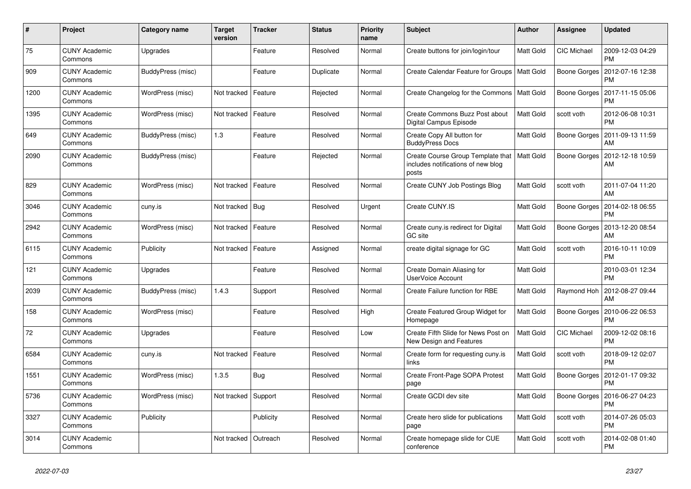| $\#$ | Project                         | Category name     | <b>Target</b><br>version | <b>Tracker</b> | <b>Status</b> | Priority<br>name | <b>Subject</b>                                                                   | Author           | Assignee           | <b>Updated</b>                        |
|------|---------------------------------|-------------------|--------------------------|----------------|---------------|------------------|----------------------------------------------------------------------------------|------------------|--------------------|---------------------------------------|
| 75   | <b>CUNY Academic</b><br>Commons | Upgrades          |                          | Feature        | Resolved      | Normal           | Create buttons for join/login/tour                                               | Matt Gold        | <b>CIC Michael</b> | 2009-12-03 04:29<br><b>PM</b>         |
| 909  | <b>CUNY Academic</b><br>Commons | BuddyPress (misc) |                          | Feature        | Duplicate     | Normal           | Create Calendar Feature for Groups                                               | <b>Matt Gold</b> | Boone Gorges       | 2012-07-16 12:38<br><b>PM</b>         |
| 1200 | <b>CUNY Academic</b><br>Commons | WordPress (misc)  | Not tracked              | Feature        | Rejected      | Normal           | Create Changelog for the Commons                                                 | Matt Gold        | Boone Gorges       | 2017-11-15 05:06<br><b>PM</b>         |
| 1395 | <b>CUNY Academic</b><br>Commons | WordPress (misc)  | Not tracked              | Feature        | Resolved      | Normal           | Create Commons Buzz Post about<br>Digital Campus Episode                         | Matt Gold        | scott voth         | 2012-06-08 10:31<br><b>PM</b>         |
| 649  | <b>CUNY Academic</b><br>Commons | BuddyPress (misc) | 1.3                      | Feature        | Resolved      | Normal           | Create Copy All button for<br><b>BuddyPress Docs</b>                             | Matt Gold        | Boone Gorges       | 2011-09-13 11:59<br>AM                |
| 2090 | <b>CUNY Academic</b><br>Commons | BuddyPress (misc) |                          | Feature        | Rejected      | Normal           | Create Course Group Template that<br>includes notifications of new blog<br>posts | Matt Gold        | Boone Gorges       | 2012-12-18 10:59<br>AM                |
| 829  | <b>CUNY Academic</b><br>Commons | WordPress (misc)  | Not tracked              | Feature        | Resolved      | Normal           | Create CUNY Job Postings Blog                                                    | Matt Gold        | scott voth         | 2011-07-04 11:20<br>AM                |
| 3046 | <b>CUNY Academic</b><br>Commons | cuny.is           | Not tracked              | Bug            | Resolved      | Urgent           | Create CUNY.IS                                                                   | Matt Gold        | Boone Gorges       | 2014-02-18 06:55<br><b>PM</b>         |
| 2942 | <b>CUNY Academic</b><br>Commons | WordPress (misc)  | Not tracked              | Feature        | Resolved      | Normal           | Create cuny is redirect for Digital<br><b>GC</b> site                            | Matt Gold        |                    | Boone Gorges   2013-12-20 08:54<br>AM |
| 6115 | <b>CUNY Academic</b><br>Commons | Publicity         | Not tracked              | Feature        | Assigned      | Normal           | create digital signage for GC                                                    | Matt Gold        | scott voth         | 2016-10-11 10:09<br><b>PM</b>         |
| 121  | <b>CUNY Academic</b><br>Commons | Upgrades          |                          | Feature        | Resolved      | Normal           | Create Domain Aliasing for<br><b>UserVoice Account</b>                           | Matt Gold        |                    | 2010-03-01 12:34<br><b>PM</b>         |
| 2039 | <b>CUNY Academic</b><br>Commons | BuddyPress (misc) | 1.4.3                    | Support        | Resolved      | Normal           | Create Failure function for RBE                                                  | Matt Gold        | Raymond Hoh        | 2012-08-27 09:44<br>AM                |
| 158  | <b>CUNY Academic</b><br>Commons | WordPress (misc)  |                          | Feature        | Resolved      | High             | Create Featured Group Widget for<br>Homepage                                     | Matt Gold        | Boone Gorges       | 2010-06-22 06:53<br><b>PM</b>         |
| 72   | <b>CUNY Academic</b><br>Commons | Upgrades          |                          | Feature        | Resolved      | Low              | Create Fifth Slide for News Post on<br>New Design and Features                   | Matt Gold        | CIC Michael        | 2009-12-02 08:16<br><b>PM</b>         |
| 6584 | <b>CUNY Academic</b><br>Commons | cuny.is           | Not tracked              | Feature        | Resolved      | Normal           | Create form for requesting cuny.is<br>links                                      | Matt Gold        | scott voth         | 2018-09-12 02:07<br><b>PM</b>         |
| 1551 | <b>CUNY Academic</b><br>Commons | WordPress (misc)  | 1.3.5                    | <b>Bug</b>     | Resolved      | Normal           | Create Front-Page SOPA Protest<br>page                                           | Matt Gold        | Boone Gorges       | 2012-01-17 09:32<br><b>PM</b>         |
| 5736 | <b>CUNY Academic</b><br>Commons | WordPress (misc)  | Not tracked              | Support        | Resolved      | Normal           | Create GCDI dev site                                                             | Matt Gold        | Boone Gorges       | 2016-06-27 04:23<br><b>PM</b>         |
| 3327 | <b>CUNY Academic</b><br>Commons | Publicity         |                          | Publicity      | Resolved      | Normal           | Create hero slide for publications<br>page                                       | Matt Gold        | scott voth         | 2014-07-26 05:03<br><b>PM</b>         |
| 3014 | <b>CUNY Academic</b><br>Commons |                   | Not tracked              | Outreach       | Resolved      | Normal           | Create homepage slide for CUE<br>conference                                      | Matt Gold        | scott voth         | 2014-02-08 01:40<br><b>PM</b>         |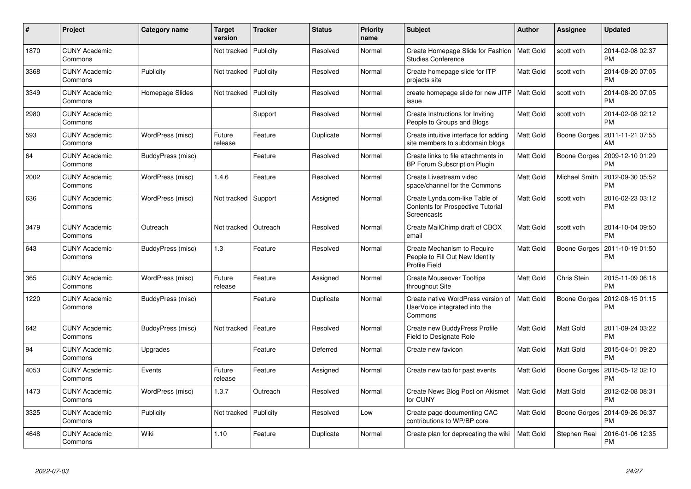| $\#$ | Project                         | Category name     | <b>Target</b><br>version | <b>Tracker</b> | <b>Status</b> | <b>Priority</b><br>name | <b>Subject</b>                                                                            | Author           | Assignee      | <b>Updated</b>                        |
|------|---------------------------------|-------------------|--------------------------|----------------|---------------|-------------------------|-------------------------------------------------------------------------------------------|------------------|---------------|---------------------------------------|
| 1870 | <b>CUNY Academic</b><br>Commons |                   | Not tracked              | Publicity      | Resolved      | Normal                  | Create Homepage Slide for Fashion<br><b>Studies Conference</b>                            | <b>Matt Gold</b> | scott voth    | 2014-02-08 02:37<br><b>PM</b>         |
| 3368 | <b>CUNY Academic</b><br>Commons | Publicity         | Not tracked              | Publicity      | Resolved      | Normal                  | Create homepage slide for ITP<br>projects site                                            | Matt Gold        | scott voth    | 2014-08-20 07:05<br><b>PM</b>         |
| 3349 | <b>CUNY Academic</b><br>Commons | Homepage Slides   | Not tracked              | Publicity      | Resolved      | Normal                  | create homepage slide for new JITP<br>issue                                               | Matt Gold        | scott voth    | 2014-08-20 07:05<br><b>PM</b>         |
| 2980 | <b>CUNY Academic</b><br>Commons |                   |                          | Support        | Resolved      | Normal                  | Create Instructions for Inviting<br>People to Groups and Blogs                            | Matt Gold        | scott voth    | 2014-02-08 02:12<br><b>PM</b>         |
| 593  | <b>CUNY Academic</b><br>Commons | WordPress (misc)  | Future<br>release        | Feature        | Duplicate     | Normal                  | Create intuitive interface for adding<br>site members to subdomain blogs                  | Matt Gold        |               | Boone Gorges   2011-11-21 07:55<br>AM |
| 64   | <b>CUNY Academic</b><br>Commons | BuddyPress (misc) |                          | Feature        | Resolved      | Normal                  | Create links to file attachments in<br>BP Forum Subscription Plugin                       | Matt Gold        | Boone Gorges  | 2009-12-10 01:29<br><b>PM</b>         |
| 2002 | <b>CUNY Academic</b><br>Commons | WordPress (misc)  | 1.4.6                    | Feature        | Resolved      | Normal                  | Create Livestream video<br>space/channel for the Commons                                  | Matt Gold        | Michael Smith | 2012-09-30 05:52<br><b>PM</b>         |
| 636  | <b>CUNY Academic</b><br>Commons | WordPress (misc)  | Not tracked Support      |                | Assigned      | Normal                  | Create Lynda.com-like Table of<br><b>Contents for Prospective Tutorial</b><br>Screencasts | Matt Gold        | scott voth    | 2016-02-23 03:12<br><b>PM</b>         |
| 3479 | <b>CUNY Academic</b><br>Commons | Outreach          | Not tracked              | Outreach       | Resolved      | Normal                  | Create MailChimp draft of CBOX<br>email                                                   | Matt Gold        | scott voth    | 2014-10-04 09:50<br><b>PM</b>         |
| 643  | CUNY Academic<br>Commons        | BuddyPress (misc) | 1.3                      | Feature        | Resolved      | Normal                  | Create Mechanism to Require<br>People to Fill Out New Identity<br>Profile Field           | Matt Gold        | Boone Gorges  | 2011-10-19 01:50<br><b>PM</b>         |
| 365  | <b>CUNY Academic</b><br>Commons | WordPress (misc)  | Future<br>release        | Feature        | Assigned      | Normal                  | <b>Create Mouseover Tooltips</b><br>throughout Site                                       | Matt Gold        | Chris Stein   | 2015-11-09 06:18<br><b>PM</b>         |
| 1220 | <b>CUNY Academic</b><br>Commons | BuddyPress (misc) |                          | Feature        | Duplicate     | Normal                  | Create native WordPress version of<br>UserVoice integrated into the<br>Commons            | Matt Gold        | Boone Gorges  | 2012-08-15 01:15<br><b>PM</b>         |
| 642  | <b>CUNY Academic</b><br>Commons | BuddyPress (misc) | Not tracked              | Feature        | Resolved      | Normal                  | Create new BuddyPress Profile<br>Field to Designate Role                                  | Matt Gold        | Matt Gold     | 2011-09-24 03:22<br><b>PM</b>         |
| 94   | <b>CUNY Academic</b><br>Commons | Upgrades          |                          | Feature        | Deferred      | Normal                  | Create new favicon                                                                        | Matt Gold        | Matt Gold     | 2015-04-01 09:20<br><b>PM</b>         |
| 4053 | <b>CUNY Academic</b><br>Commons | Events            | Future<br>release        | Feature        | Assigned      | Normal                  | Create new tab for past events                                                            | Matt Gold        | Boone Gorges  | 2015-05-12 02:10<br><b>PM</b>         |
| 1473 | <b>CUNY Academic</b><br>Commons | WordPress (misc)  | 1.3.7                    | Outreach       | Resolved      | Normal                  | Create News Blog Post on Akismet<br>for CUNY                                              | Matt Gold        | Matt Gold     | 2012-02-08 08:31<br><b>PM</b>         |
| 3325 | <b>CUNY Academic</b><br>Commons | Publicity         | Not tracked              | Publicity      | Resolved      | Low                     | Create page documenting CAC<br>contributions to WP/BP core                                | Matt Gold        | Boone Gorges  | 2014-09-26 06:37<br><b>PM</b>         |
| 4648 | <b>CUNY Academic</b><br>Commons | Wiki              | 1.10                     | Feature        | Duplicate     | Normal                  | Create plan for deprecating the wiki                                                      | Matt Gold        | Stephen Real  | 2016-01-06 12:35<br>PM                |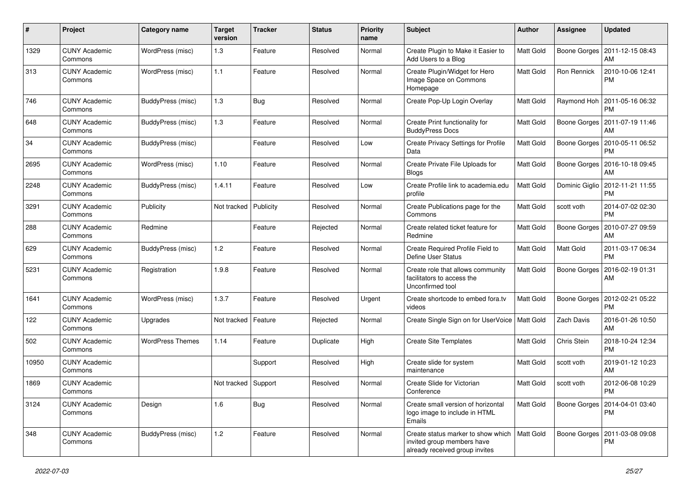| $\pmb{\#}$ | Project                         | <b>Category name</b>    | <b>Target</b><br>version | <b>Tracker</b> | <b>Status</b> | <b>Priority</b><br>name | <b>Subject</b>                                                                                     | Author           | Assignee     | <b>Updated</b>                                 |
|------------|---------------------------------|-------------------------|--------------------------|----------------|---------------|-------------------------|----------------------------------------------------------------------------------------------------|------------------|--------------|------------------------------------------------|
| 1329       | <b>CUNY Academic</b><br>Commons | WordPress (misc)        | 1.3                      | Feature        | Resolved      | Normal                  | Create Plugin to Make it Easier to<br>Add Users to a Blog                                          | Matt Gold        | Boone Gorges | 2011-12-15 08:43<br>AM                         |
| 313        | <b>CUNY Academic</b><br>Commons | WordPress (misc)        | $1.1$                    | Feature        | Resolved      | Normal                  | Create Plugin/Widget for Hero<br>Image Space on Commons<br>Homepage                                | Matt Gold        | Ron Rennick  | 2010-10-06 12:41<br><b>PM</b>                  |
| 746        | <b>CUNY Academic</b><br>Commons | BuddyPress (misc)       | 1.3                      | <b>Bug</b>     | Resolved      | Normal                  | Create Pop-Up Login Overlay                                                                        | Matt Gold        | Raymond Hoh  | 2011-05-16 06:32<br><b>PM</b>                  |
| 648        | <b>CUNY Academic</b><br>Commons | BuddyPress (misc)       | 1.3                      | Feature        | Resolved      | Normal                  | Create Print functionality for<br><b>BuddyPress Docs</b>                                           | Matt Gold        | Boone Gorges | 2011-07-19 11:46<br>AM                         |
| 34         | <b>CUNY Academic</b><br>Commons | BuddyPress (misc)       |                          | Feature        | Resolved      | Low                     | Create Privacy Settings for Profile<br>Data                                                        | Matt Gold        | Boone Gorges | 2010-05-11 06:52<br><b>PM</b>                  |
| 2695       | <b>CUNY Academic</b><br>Commons | WordPress (misc)        | 1.10                     | Feature        | Resolved      | Normal                  | Create Private File Uploads for<br><b>Blogs</b>                                                    | Matt Gold        | Boone Gorges | 2016-10-18 09:45<br>AM                         |
| 2248       | <b>CUNY Academic</b><br>Commons | BuddyPress (misc)       | 1.4.11                   | Feature        | Resolved      | Low                     | Create Profile link to academia.edu<br>profile                                                     | Matt Gold        |              | Dominic Giglio   2012-11-21 11:55<br><b>PM</b> |
| 3291       | <b>CUNY Academic</b><br>Commons | Publicity               | Not tracked              | Publicity      | Resolved      | Normal                  | Create Publications page for the<br>Commons                                                        | Matt Gold        | scott voth   | 2014-07-02 02:30<br><b>PM</b>                  |
| 288        | <b>CUNY Academic</b><br>Commons | Redmine                 |                          | Feature        | Rejected      | Normal                  | Create related ticket feature for<br>Redmine                                                       | Matt Gold        | Boone Gorges | 2010-07-27 09:59<br>AM                         |
| 629        | <b>CUNY Academic</b><br>Commons | BuddyPress (misc)       | $1.2$                    | Feature        | Resolved      | Normal                  | Create Required Profile Field to<br>Define User Status                                             | <b>Matt Gold</b> | Matt Gold    | 2011-03-17 06:34<br><b>PM</b>                  |
| 5231       | <b>CUNY Academic</b><br>Commons | Registration            | 1.9.8                    | Feature        | Resolved      | Normal                  | Create role that allows community<br>facilitators to access the<br>Unconfirmed tool                | Matt Gold        | Boone Gorges | 2016-02-19 01:31<br>AM                         |
| 1641       | <b>CUNY Academic</b><br>Commons | WordPress (misc)        | 1.3.7                    | Feature        | Resolved      | Urgent                  | Create shortcode to embed fora.tv<br>videos                                                        | Matt Gold        | Boone Gorges | 2012-02-21 05:22<br><b>PM</b>                  |
| 122        | <b>CUNY Academic</b><br>Commons | Upgrades                | Not tracked              | Feature        | Rejected      | Normal                  | Create Single Sign on for UserVoice   Matt Gold                                                    |                  | Zach Davis   | 2016-01-26 10:50<br>AM                         |
| 502        | <b>CUNY Academic</b><br>Commons | <b>WordPress Themes</b> | 1.14                     | Feature        | Duplicate     | High                    | <b>Create Site Templates</b>                                                                       | Matt Gold        | Chris Stein  | 2018-10-24 12:34<br><b>PM</b>                  |
| 10950      | <b>CUNY Academic</b><br>Commons |                         |                          | Support        | Resolved      | High                    | Create slide for system<br>maintenance                                                             | Matt Gold        | scott voth   | 2019-01-12 10:23<br>AM                         |
| 1869       | <b>CUNY Academic</b><br>Commons |                         | Not tracked Support      |                | Resolved      | Normal                  | Create Slide for Victorian<br>Conference                                                           | Matt Gold        | scott voth   | 2012-06-08 10:29<br>PM                         |
| 3124       | <b>CUNY Academic</b><br>Commons | Design                  | 1.6                      | Bug            | Resolved      | Normal                  | Create small version of horizontal<br>logo image to include in HTML<br>Emails                      | Matt Gold        | Boone Gorges | 2014-04-01 03:40<br>PM                         |
| 348        | <b>CUNY Academic</b><br>Commons | BuddyPress (misc)       | 1.2                      | Feature        | Resolved      | Normal                  | Create status marker to show which<br>invited group members have<br>already received group invites | Matt Gold        |              | Boone Gorges   2011-03-08 09:08<br>PM          |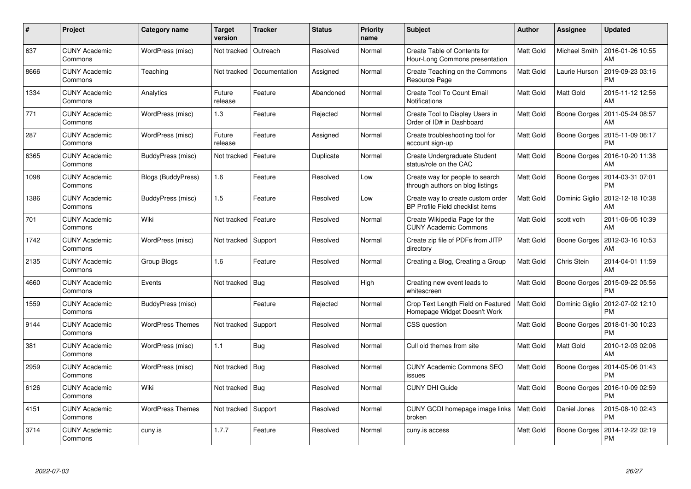| #    | Project                         | <b>Category name</b>      | <b>Target</b><br>version | <b>Tracker</b> | <b>Status</b> | <b>Priority</b><br>name | <b>Subject</b>                                                        | <b>Author</b>    | Assignee       | <b>Updated</b>                |
|------|---------------------------------|---------------------------|--------------------------|----------------|---------------|-------------------------|-----------------------------------------------------------------------|------------------|----------------|-------------------------------|
| 637  | <b>CUNY Academic</b><br>Commons | WordPress (misc)          | Not tracked              | Outreach       | Resolved      | Normal                  | Create Table of Contents for<br>Hour-Long Commons presentation        | Matt Gold        | Michael Smith  | 2016-01-26 10:55<br>AM        |
| 8666 | <b>CUNY Academic</b><br>Commons | Teaching                  | Not tracked              | Documentation  | Assigned      | Normal                  | Create Teaching on the Commons<br>Resource Page                       | Matt Gold        | Laurie Hurson  | 2019-09-23 03:16<br>PM        |
| 1334 | <b>CUNY Academic</b><br>Commons | Analytics                 | Future<br>release        | Feature        | Abandoned     | Normal                  | Create Tool To Count Email<br>Notifications                           | Matt Gold        | Matt Gold      | 2015-11-12 12:56<br>AM        |
| 771  | <b>CUNY Academic</b><br>Commons | WordPress (misc)          | 1.3                      | Feature        | Rejected      | Normal                  | Create Tool to Display Users in<br>Order of ID# in Dashboard          | Matt Gold        | Boone Gorges   | 2011-05-24 08:57<br>AM        |
| 287  | <b>CUNY Academic</b><br>Commons | WordPress (misc)          | Future<br>release        | Feature        | Assigned      | Normal                  | Create troubleshooting tool for<br>account sign-up                    | <b>Matt Gold</b> | Boone Gorges   | 2015-11-09 06:17<br><b>PM</b> |
| 6365 | <b>CUNY Academic</b><br>Commons | BuddyPress (misc)         | Not tracked              | Feature        | Duplicate     | Normal                  | Create Undergraduate Student<br>status/role on the CAC                | Matt Gold        | Boone Gorges   | 2016-10-20 11:38<br>AM        |
| 1098 | <b>CUNY Academic</b><br>Commons | <b>Blogs (BuddyPress)</b> | 1.6                      | Feature        | Resolved      | Low                     | Create way for people to search<br>through authors on blog listings   | Matt Gold        | Boone Gorges   | 2014-03-31 07:01<br>PM        |
| 1386 | <b>CUNY Academic</b><br>Commons | BuddyPress (misc)         | 1.5                      | Feature        | Resolved      | Low                     | Create way to create custom order<br>BP Profile Field checklist items | Matt Gold        | Dominic Giglio | 2012-12-18 10:38<br>AM        |
| 701  | <b>CUNY Academic</b><br>Commons | Wiki                      | Not tracked              | Feature        | Resolved      | Normal                  | Create Wikipedia Page for the<br><b>CUNY Academic Commons</b>         | Matt Gold        | scott voth     | 2011-06-05 10:39<br>AM        |
| 1742 | <b>CUNY Academic</b><br>Commons | WordPress (misc)          | Not tracked              | Support        | Resolved      | Normal                  | Create zip file of PDFs from JITP<br>directory                        | Matt Gold        | Boone Gorges   | 2012-03-16 10:53<br>AM        |
| 2135 | <b>CUNY Academic</b><br>Commons | Group Blogs               | 1.6                      | Feature        | Resolved      | Normal                  | Creating a Blog, Creating a Group                                     | Matt Gold        | Chris Stein    | 2014-04-01 11:59<br>AM        |
| 4660 | <b>CUNY Academic</b><br>Commons | Events                    | Not tracked              | Bug            | Resolved      | High                    | Creating new event leads to<br>whitescreen                            | Matt Gold        | Boone Gorges   | 2015-09-22 05:56<br>РM        |
| 1559 | <b>CUNY Academic</b><br>Commons | BuddyPress (misc)         |                          | Feature        | Rejected      | Normal                  | Crop Text Length Field on Featured<br>Homepage Widget Doesn't Work    | <b>Matt Gold</b> | Dominic Giglio | 2012-07-02 12:10<br>PM        |
| 9144 | <b>CUNY Academic</b><br>Commons | <b>WordPress Themes</b>   | Not tracked              | Support        | Resolved      | Normal                  | CSS question                                                          | <b>Matt Gold</b> | Boone Gorges   | 2018-01-30 10:23<br>PM        |
| 381  | <b>CUNY Academic</b><br>Commons | WordPress (misc)          | 1.1                      | Bug            | Resolved      | Normal                  | Cull old themes from site                                             | Matt Gold        | Matt Gold      | 2010-12-03 02:06<br>AM        |
| 2959 | <b>CUNY Academic</b><br>Commons | WordPress (misc)          | Not tracked              | Bug            | Resolved      | Normal                  | <b>CUNY Academic Commons SEO</b><br>issues                            | Matt Gold        | Boone Gorges   | 2014-05-06 01:43<br><b>PM</b> |
| 6126 | <b>CUNY Academic</b><br>Commons | Wiki                      | Not tracked              | Bug            | Resolved      | Normal                  | <b>CUNY DHI Guide</b>                                                 | Matt Gold        | Boone Gorges   | 2016-10-09 02:59<br>PM        |
| 4151 | <b>CUNY Academic</b><br>Commons | <b>WordPress Themes</b>   | Not tracked              | Support        | Resolved      | Normal                  | CUNY GCDI homepage image links<br>broken                              | <b>Matt Gold</b> | Daniel Jones   | 2015-08-10 02:43<br>PM        |
| 3714 | <b>CUNY Academic</b><br>Commons | cuny.is                   | 1.7.7                    | Feature        | Resolved      | Normal                  | cuny.is access                                                        | Matt Gold        | Boone Gorges   | 2014-12-22 02:19<br>PM        |